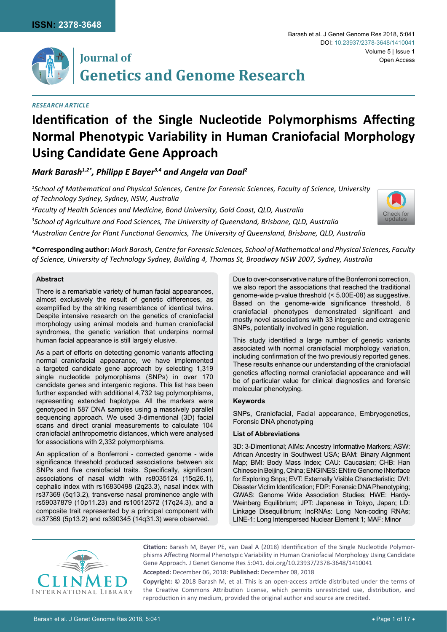

# **Journal of Genetics and Genome Research**

# *Research Article*

## Barash et al. J Genet Genome Res 2018, 5:041 Volume 5 | Issue 1 DOI: [10.23937/2378-3648/1410041](https://doi.org/10.23937/2378-3648/1410041) Open Access

# **Identification of the Single Nucleotide Polymorphisms Affecting Normal Phenotypic Variability in Human Craniofacial Morphology Using Candidate Gene Approach**

*Mark Barash1,2\*, Philipp E Bayer3,4 and Angela van Daal2*

*1 School of Mathematical and Physical Sciences, Centre for Forensic Sciences, Faculty of Science, University of Technology Sydney, Sydney, NSW, Australia*

*2 Faculty of Health Sciences and Medicine, Bond University, Gold Coast, QLD, Australia 3 School of Agriculture and Food Sciences, The University of Queensland, Brisbane, QLD, Australia 4 Australian Centre for Plant Functional Genomics, The University of Queensland, Brisbane, QLD, Australia*



**\*Corresponding author:** *Mark Barash, Centre for Forensic Sciences, School of Mathematical and Physical Sciences, Faculty of Science, University of Technology Sydney, Building 4, Thomas St, Broadway NSW 2007, Sydney, Australia*

# **Abstract**

There is a remarkable variety of human facial appearances, almost exclusively the result of genetic differences, as exemplified by the striking resemblance of identical twins. Despite intensive research on the genetics of craniofacial morphology using animal models and human craniofacial syndromes, the genetic variation that underpins normal human facial appearance is still largely elusive.

As a part of efforts on detecting genomic variants affecting normal craniofacial appearance, we have implemented a targeted candidate gene approach by selecting 1,319 single nucleotide polymorphisms (SNPs) in over 170 candidate genes and intergenic regions. This list has been further expanded with additional 4,732 tag polymorphisms, representing extended haplotype. All the markers were genotyped in 587 DNA samples using a massively parallel sequencing approach. We used 3-dimentional (3D) facial scans and direct cranial measurements to calculate 104 craniofacial anthropometric distances, which were analysed for associations with 2,332 polymorphisms.

An application of a Bonferroni - corrected genome - wide significance threshold produced associations between six SNPs and five craniofacial traits. Specifically, significant associations of nasal width with rs8035124 (15q26.1), cephalic index with rs16830498 (2q23.3), nasal index with rs37369 (5q13.2), transverse nasal prominence angle with rs59037879 (10p11.23) and rs10512572 (17q24.3), and a composite trait represented by a principal component with rs37369 (5p13.2) and rs390345 (14q31.3) were observed.

Due to over-conservative nature of the Bonferroni correction, we also report the associations that reached the traditional genome-wide p-value threshold (< 5.00E-08) as suggestive. Based on the genome-wide significance threshold, 8 craniofacial phenotypes demonstrated significant and mostly novel associations with 33 intergenic and extragenic SNPs, potentially involved in gene regulation.

This study identified a large number of genetic variants associated with normal craniofacial morphology variation, including confirmation of the two previously reported genes. These results enhance our understanding of the craniofacial genetics affecting normal craniofacial appearance and will be of particular value for clinical diagnostics and forensic molecular phenotyping.

## **Keywords**

SNPs, Craniofacial, Facial appearance, Embryogenetics, Forensic DNA phenotyping

## **List of Abbreviations**

3D: 3-Dimentional; AIMs: Ancestry Informative Markers; ASW: African Ancestry in Southwest USA; BAM: Binary Alignment Map; BMI: Body Mass Index; CAU: Caucasian; CHB: Han Chinese in Beijing, China; ENGINES: ENtire Genome INterface for Exploring Snps; EVT: Externally Visible Characteristic; DVI: Disaster Victim Identification; FDP: Forensic DNA Phenotyping; GWAS: Genome Wide Association Studies; HWE: Hardy-Weinberg Equilibrium; JPT: Japanese in Tokyo, Japan; LD: Linkage Disequilibrium; lncRNAs: Long Non-coding RNAs; LINE-1: Long Interspersed Nuclear Element 1; MAF: Minor



**Citation:** Barash M, Bayer PE, van Daal A (2018) Identification of the Single Nucleotide Polymorphisms Affecting Normal Phenotypic Variability in Human Craniofacial Morphology Using Candidate Gene Approach. J Genet Genome Res 5:041. [doi.org/10.23937/2378-3648/1410041](https://doi.org/10.23937/2378-3648/1410041)

**Accepted:** December 06, 2018: **Published:** December 08, 2018

**Copyright:** © 2018 Barash M, et al. This is an open-access article distributed under the terms of the Creative Commons Attribution License, which permits unrestricted use, distribution, and reproduction in any medium, provided the original author and source are credited.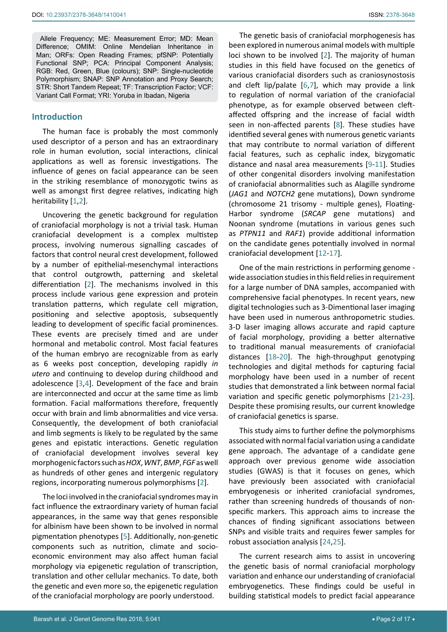Allele Frequency; ME: Measurement Error; MD: Mean Difference; OMIM: Online Mendelian Inheritance in Man; ORFs: Open Reading Frames; pfSNP: Potentially Functional SNP; PCA: Principal Component Analysis; RGB: Red, Green, Blue (colours); SNP: Single-nucleotide Polymorphism; SNAP: SNP Annotation and Proxy Search; STR: Short Tandem Repeat; TF: Transcription Factor; VCF: Variant Call Format; YRI: Yoruba in Ibadan, Nigeria

## **Introduction**

The human face is probably the most commonly used descriptor of a person and has an extraordinary role in human evolution, social interactions, clinical applications as well as forensic investigations. The influence of genes on facial appearance can be seen in the striking resemblance of monozygotic twins as well as amongst first degree relatives, indicating high heritability [[1,](#page-13-5)[2](#page-13-0)].

Uncovering the genetic background for regulation of craniofacial morphology is not a trivial task. Human craniofacial development is a complex multistep process, involving numerous signalling cascades of factors that control neural crest development, followed by a number of epithelial-mesenchymal interactions that control outgrowth, patterning and skeletal differentiation [[2](#page-13-0)]. The mechanisms involved in this process include various gene expression and protein translation patterns, which regulate cell migration, positioning and selective apoptosis, subsequently leading to development of specific facial prominences. These events are precisely timed and are under hormonal and metabolic control. Most facial features of the human embryo are recognizable from as early as 6 weeks post conception, developing rapidly *in utero* and continuing to develop during childhood and adolescence [[3](#page-13-6),[4\]](#page-13-7). Development of the face and brain are interconnected and occur at the same time as limb formation. Facial malformations therefore, frequently occur with brain and limb abnormalities and vice versa. Consequently, the development of both craniofacial and limb segments is likely to be regulated by the same genes and epistatic interactions. Genetic regulation of craniofacial development involves several key morphogenic factors such as *HOX*, *WNT*, *BMP*, *FGF* as well as hundreds of other genes and intergenic regulatory regions, incorporating numerous polymorphisms [[2](#page-13-0)].

The loci involved in the craniofacial syndromes may in fact influence the extraordinary variety of human facial appearances, in the same way that genes responsible for albinism have been shown to be involved in normal pigmentation phenotypes [\[5\]](#page-13-8). Additionally, non-genetic components such as nutrition, climate and socioeconomic environment may also affect human facial morphology via epigenetic regulation of transcription, translation and other cellular mechanics. To date, both the genetic and even more so, the epigenetic regulation of the craniofacial morphology are poorly understood.

The genetic basis of craniofacial morphogenesis has been explored in numerous animal models with multiple loci shown to be involved [[2](#page-13-0)]. The majority of human studies in this field have focused on the genetics of various craniofacial disorders such as craniosynostosis and cleft lip/palate [\[6](#page-13-1),[7\]](#page-13-2), which may provide a link to regulation of normal variation of the craniofacial phenotype, as for example observed between cleftaffected offspring and the increase of facial width seen in non-affected parents [[8](#page-13-3)]. These studies have identified several genes with numerous genetic variants that may contribute to normal variation of different facial features, such as cephalic index, bizygomatic distance and nasal area measurements [\[9](#page-13-4)[-11](#page-14-0)]. Studies of other congenital disorders involving manifestation of craniofacial abnormalities such as Alagille syndrome (*JAG1* and *NOTCH2* gene mutations), Down syndrome (chromosome 21 trisomy - multiple genes), Floating-Harbor syndrome (*SRCAP* gene mutations) and Noonan syndrome (mutations in various genes such as *PTPN11* and *RAF1*) provide additional information on the candidate genes potentially involved in normal craniofacial development [[12](#page-14-1)-[17\]](#page-14-2).

One of the main restrictions in performing genome wide association studies in this field relies in requirement for a large number of DNA samples, accompanied with comprehensive facial phenotypes. In recent years, new digital technologies such as 3-Dimentional laser imaging have been used in numerous anthropometric studies. 3-D laser imaging allows accurate and rapid capture of facial morphology, providing a better alternative to traditional manual measurements of craniofacial distances [[18-](#page-14-3)[20](#page-14-4)]. The high-throughput genotyping technologies and digital methods for capturing facial morphology have been used in a number of recent studies that demonstrated a link between normal facial variation and specific genetic polymorphisms [[21](#page-14-5)-[23\]](#page-14-6). Despite these promising results, our current knowledge of craniofacial genetics is sparse.

This study aims to further define the polymorphisms associated with normal facial variation using a candidate gene approach. The advantage of a candidate gene approach over previous genome wide association studies (GWAS) is that it focuses on genes, which have previously been associated with craniofacial embryogenesis or inherited craniofacial syndromes, rather than screening hundreds of thousands of nonspecific markers. This approach aims to increase the chances of finding significant associations between SNPs and visible traits and requires fewer samples for robust association analysis [[24](#page-14-7),[25\]](#page-14-8).

The current research aims to assist in uncovering the genetic basis of normal craniofacial morphology variation and enhance our understanding of craniofacial embryogenetics. These findings could be useful in building statistical models to predict facial appearance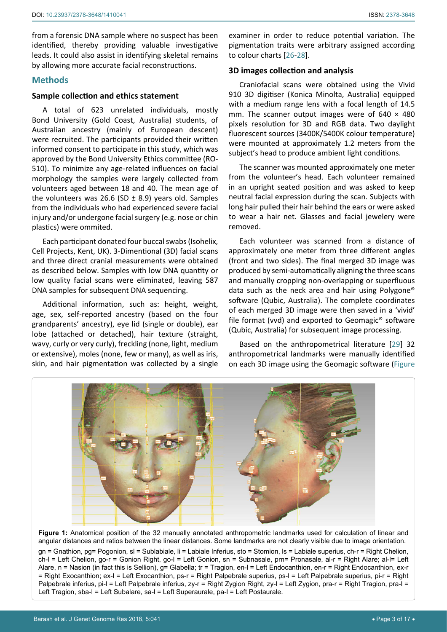from a forensic DNA sample where no suspect has been identified, thereby providing valuable investigative leads. It could also assist in identifying skeletal remains by allowing more accurate facial reconstructions.

## **Methods**

Ī

## **Sample collection and ethics statement**

A total of 623 unrelated individuals, mostly Bond University (Gold Coast, Australia) students, of Australian ancestry (mainly of European descent) were recruited. The participants provided their written informed consent to participate in this study, which was approved by the Bond University Ethics committee (RO-510). To minimize any age-related influences on facial morphology the samples were largely collected from volunteers aged between 18 and 40. The mean age of the volunteers was 26.6 (SD  $\pm$  8.9) years old. Samples from the individuals who had experienced severe facial injury and/or undergone facial surgery (e.g. nose or chin plastics) were ommited.

Each participant donated four buccal swabs (Isohelix, Cell Projects, Kent, UK). 3-Dimentional (3D) facial scans and three direct cranial measurements were obtained as described below. Samples with low DNA quantity or low quality facial scans were eliminated, leaving 587 DNA samples for subsequent DNA sequencing.

Additional information, such as: height, weight, age, sex, self-reported ancestry (based on the four grandparents' ancestry), eye lid (single or double), ear lobe (attached or detached), hair texture (straight, wavy, curly or very curly), freckling (none, light, medium or extensive), moles (none, few or many), as well as iris, skin, and hair pigmentation was collected by a single

examiner in order to reduce potential variation. The pigmentation traits were arbitrary assigned according to colour charts [[26](#page-14-9)[-28](#page-14-10)].

# **3D images collection and analysis**

Craniofacial scans were obtained using the Vivid 910 3D digitiser (Konica Minolta, Australia) equipped with a medium range lens with a focal length of 14.5 mm. The scanner output images were of  $640 \times 480$ pixels resolution for 3D and RGB data. Two daylight fluorescent sources (3400K/5400K colour temperature) were mounted at approximately 1.2 meters from the subject's head to produce ambient light conditions.

The scanner was mounted approximately one meter from the volunteer's head. Each volunteer remained in an upright seated position and was asked to keep neutral facial expression during the scan. Subjects with long hair pulled their hair behind the ears or were asked to wear a hair net. Glasses and facial jewelery were removed.

Each volunteer was scanned from a distance of approximately one meter from three different angles (front and two sides). The final merged 3D image was produced by semi-automatically aligning the three scans and manually cropping non-overlapping or superfluous data such as the neck area and hair using Polygone® software (Qubic, Australia). The complete coordinates of each merged 3D image were then saved in a 'vivid' file format (vvd) and exported to Geomagic® software (Qubic, Australia) for subsequent image processing.

Based on the anthropometrical literature [[29](#page-14-11)] 32 anthropometrical landmarks were manually identified on each 3D image using the Geomagic software (Figure



**Figure 1:** Anatomical position of the 32 manually annotated anthropometric landmarks used for calculation of linear and angular distances and ratios between the linear distances. Some landmarks are not clearly visible due to image orientation. gn = Gnathion, pg= Pogonion, sl = Sublabiale, li = Labiale Inferius, sto = Stomion, ls = Labiale superius, ch-r = Right Chelion, ch-l = Left Chelion, go-r = Gonion Right, go-l = Left Gonion, sn = Subnasale, prn= Pronasale, al-r = Right Alare; al-l= Left Alare, n = Nasion (in fact this is Sellion), g= Glabella; tr = Tragion, en-l = Left Endocanthion, en-r = Right Endocanthion, ex-r = Right Exocanthion; ex-l = Left Exocanthion, ps-r = Right Palpebrale superius, ps-l = Left Palpebrale superius, pi-r = Right Palpebrale inferius, pi-l = Left Palpebrale inferius, zy-r = Right Zygion Right, zy-l = Left Zygion, pra-r = Right Tragion, pra-l = Left Tragion, sba-l = Left Subalare, sa-l = Left Superaurale, pa-l = Left Postaurale.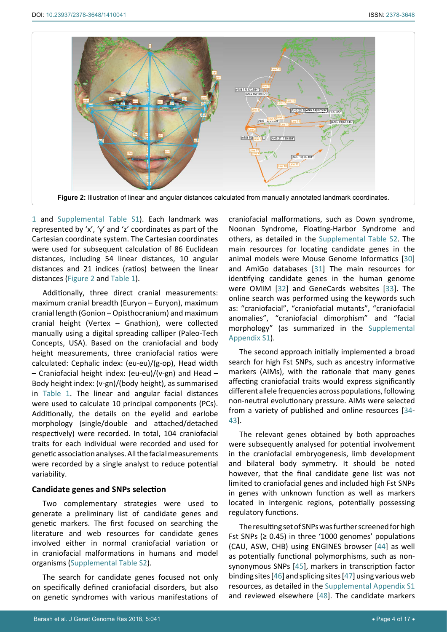

1 and [Supplemental Table S1\)](https://clinmedjournals.org/articles/jggr/jggr-5-041-supplemental-table-s1.doc). Each landmark was represented by 'x', 'y' and 'z' coordinates as part of the Cartesian coordinate system. The Cartesian coordinates were used for subsequent calculation of 86 Euclidean distances, including 54 linear distances, 10 angular distances and 21 indices (ratios) between the linear distances (Figure 2 and Table 1).

Additionally, three direct cranial measurements: maximum cranial breadth (Euryon – Euryon), maximum cranial length (Gonion – Opisthocranium) and maximum cranial height (Vertex – Gnathion), were collected manually using a digital spreading calliper (Paleo-Tech Concepts, USA). Based on the craniofacial and body height measurements, three craniofacial ratios were calculated: Cephalic index: (eu-eu)/(g-op), Head width – Craniofacial height index: (eu-eu)/(v-gn) and Head – Body height index: (v-gn)/(body height), as summarised in Table 1. The linear and angular facial distances were used to calculate 10 principal components (PCs). Additionally, the details on the eyelid and earlobe morphology (single/double and attached/detached respectively) were recorded. In total, 104 craniofacial traits for each individual were recorded and used for genetic association analyses. All the facial measurements were recorded by a single analyst to reduce potential variability.

# **Candidate genes and SNPs selection**

Two complementary strategies were used to generate a preliminary list of candidate genes and genetic markers. The first focused on searching the literature and web resources for candidate genes involved either in normal craniofacial variation or in craniofacial malformations in humans and model organisms [\(Supplemental Table S2](https://clinmedjournals.org/articles/jggr/jggr-5-041-supplemental-table-s2.doc)).

The search for candidate genes focused not only on specifically defined craniofacial disorders, but also on genetic syndromes with various manifestations of craniofacial malformations, such as Down syndrome, Noonan Syndrome, Floating-Harbor Syndrome and others, as detailed in the [Supplemental Table S2.](https://clinmedjournals.org/articles/jggr/jggr-5-041-supplemental-table-s2.doc) The main resources for locating candidate genes in the animal models were Mouse Genome Informatics [\[30](#page-14-12)] and AmiGo databases [[31\]](#page-14-13) The main resources for identifying candidate genes in the human genome were OMIM [\[32](#page-14-14)] and GeneCards websites [[33\]](#page-14-15). The online search was performed using the keywords such as: "craniofacial", "craniofacial mutants", "craniofacial anomalies", "craniofacial dimorphism" and "facial morphology" (as summarized in the [Supplemental](https://clinmedjournals.org/articles/jggr/jggr-5-041-supplemental-appendix-s1.xlsx)  [Appendix S1](https://clinmedjournals.org/articles/jggr/jggr-5-041-supplemental-appendix-s1.xlsx)).

The second approach initially implemented a broad search for high Fst SNPs, such as ancestry informative markers (AIMs), with the rationale that many genes affecting craniofacial traits would express significantly different allele frequencies across populations, following non-neutral evolutionary pressure. AIMs were selected from a variety of published and online resources [\[34](#page-14-16)- [43\]](#page-14-17).

The relevant genes obtained by both approaches were subsequently analysed for potential involvement in the craniofacial embryogenesis, limb development and bilateral body symmetry. It should be noted however, that the final candidate gene list was not limited to craniofacial genes and included high Fst SNPs in genes with unknown function as well as markers located in intergenic regions, potentially possessing regulatory functions.

The resulting set of SNPs was further screened for high Fst SNPs ( $\geq$  0.45) in three '1000 genomes' populations (CAU, ASW, CHB) using ENGINES browser [[44\]](#page-14-18) as well as potentially functional polymorphisms, such as nonsynonymous SNPs [\[45](#page-15-0)], markers in transcription factor binding sites [[46\]](#page-15-1) and splicing sites [[47\]](#page-15-2) using various web resources, as detailed in the [Supplemental Appendix S1](https://clinmedjournals.org/articles/jggr/jggr-5-041-supplemental-appendix-s1.xlsx) and reviewed elsewhere [\[48](#page-15-3)]. The candidate markers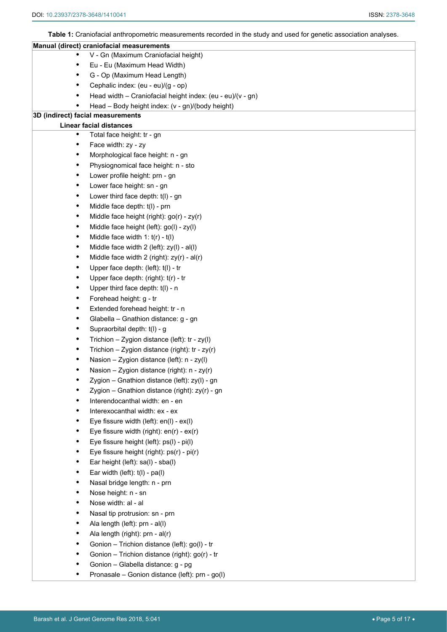**Table 1:** Craniofacial anthropometric measurements recorded in the study and used for genetic association analyses.

|           | Manual (direct) craniofacial measurements                  |
|-----------|------------------------------------------------------------|
|           | V - Gn (Maximum Craniofacial height)                       |
|           | Eu - Eu (Maximum Head Width)                               |
| ٠         | G - Op (Maximum Head Length)                               |
|           | Cephalic index: (eu - eu)/(g - op)                         |
|           | Head width - Craniofacial height index: (eu - eu)/(v - gn) |
|           | Head - Body height index: (v - gn)/(body height)           |
|           | 3D (indirect) facial measurements                          |
|           | <b>Linear facial distances</b>                             |
| ٠         | Total face height: tr - gn                                 |
| ٠         | Face width: zy - zy                                        |
| ٠         | Morphological face height: n - gn                          |
| ٠         | Physiognomical face height: n - sto                        |
| ٠         | Lower profile height: prn - gn                             |
| ٠         | Lower face height: sn - gn                                 |
| ٠         | Lower third face depth: t(I) - gn                          |
| $\bullet$ | Middle face depth: t(I) - prn                              |
| $\bullet$ | Middle face height (right): go(r) - zy(r)                  |
| $\bullet$ | Middle face height (left): go(l) - zy(l)                   |
| $\bullet$ | Middle face width $1: t(r) - t(l)$                         |
| $\bullet$ | Middle face width 2 (left): zy(l) - al(l)                  |
| ٠         | Middle face width 2 (right): zy(r) - al(r)                 |
| ٠         | Upper face depth: (left): t(l) - tr                        |
| ٠         | Upper face depth: (right): t(r) - tr                       |
| ٠         | Upper third face depth: t(I) - n                           |
| ٠         | Forehead height: g - tr                                    |
| $\bullet$ | Extended forehead height: tr - n                           |
| ٠         | Glabella - Gnathion distance: g - gn                       |
| ٠         | Supraorbital depth: t(l) - g                               |
| ٠         | Trichion - Zygion distance (left): $tr - zy(1)$            |
| ٠         | Trichion - Zygion distance (right): $tr - zy(r)$           |
|           | Nasion - Zygion distance (left): n - zy(l)                 |
| ٠         | Nasion – Zygion distance (right): $n - zy(r)$              |
|           | Zygion - Gnathion distance (left): zy(l) - gn              |
|           | Zygion - Gnathion distance (right): zy(r) - gn             |
|           | Interendocanthal width: en - en                            |
| ٠         | Interexocanthal width: ex - ex                             |
|           | Eye fissure width (left): en(l) - ex(l)                    |
| ٠         | Eye fissure width (right): $en(r) - ex(r)$                 |
|           | Eye fissure height (left): ps(l) - pi(l)                   |
|           | Eye fissure height (right): ps(r) - pi(r)                  |
|           | Ear height (left): sa(l) - sba(l)                          |
|           | Ear width (left): $t(1) - pa(1)$                           |
|           | Nasal bridge length: n - prn                               |
|           | Nose height: n - sn                                        |
| ٠         | Nose width: al - al                                        |
|           | Nasal tip protrusion: sn - prn                             |
|           | Ala length (left): prn - al(l)                             |
|           | Ala length (right): prn - al(r)                            |
|           | Gonion - Trichion distance (left): go(l) - tr              |
|           | Gonion - Trichion distance (right): go(r) - tr             |
|           | Gonion - Glabella distance: g - pg                         |
|           | Pronasale - Gonion distance (left): prn - go(l)            |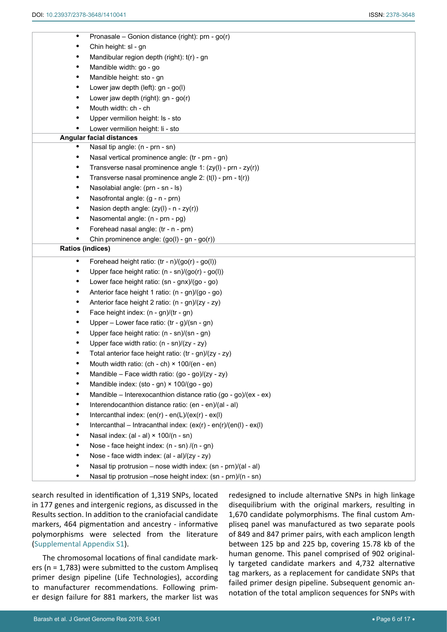| $\bullet$               | Pronasale - Gonion distance (right): prn - go(r)                 |
|-------------------------|------------------------------------------------------------------|
|                         | Chin height: sl - gn                                             |
| $\bullet$               | Mandibular region depth (right): t(r) - gn                       |
| $\bullet$               | Mandible width: go - go                                          |
| $\bullet$               | Mandible height: sto - gn                                        |
| $\bullet$               | Lower jaw depth (left): gn - go(l)                               |
| $\bullet$               | Lower jaw depth (right): gn - go(r)                              |
| $\bullet$               | Mouth width: ch - ch                                             |
|                         | Upper vermilion height: Is - sto                                 |
|                         | Lower vermilion height: li - sto                                 |
|                         | <b>Angular facial distances</b>                                  |
|                         | Nasal tip angle: (n - prn - sn)                                  |
| $\bullet$               | Nasal vertical prominence angle: (tr - prn - gn)                 |
| $\bullet$               | Transverse nasal prominence angle 1: (zy(l) - prn - zy(r))       |
| $\bullet$               | Transverse nasal prominence angle 2: (t(l) - prn - t(r))         |
| $\bullet$               | Nasolabial angle: (prn - sn - ls)                                |
| $\bullet$               | Nasofrontal angle: (g - n - prn)                                 |
| $\bullet$               | Nasion depth angle: (zy(l) - n - zy(r))                          |
| $\bullet$               | Nasomental angle: (n - prn - pg)                                 |
| ٠                       | Forehead nasal angle: (tr - n - prn)                             |
|                         | Chin prominence angle: (go(l) - gn - go(r))                      |
| <b>Ratios (indices)</b> |                                                                  |
| $\bullet$               | Forehead height ratio: (tr - n)/(go(r) - go(l))                  |
| $\bullet$               | Upper face height ratio: (n - sn)/(go(r) - go(l))                |
| $\bullet$               | Lower face height ratio: (sn - gnx)/(go - go)                    |
| ٠                       | Anterior face height 1 ratio: (n - gn)/(go - go)                 |
| $\bullet$               | Anterior face height 2 ratio: (n - gn)/(zy - zy)                 |
| $\bullet$               | Face height index: (n - gn)/(tr - gn)                            |
| $\bullet$               | Upper – Lower face ratio: $(tr - g)/(sn - gn)$                   |
| $\bullet$               | Upper face height ratio: (n - sn)/(sn - gn)                      |
| $\bullet$               | Upper face width ratio: (n - sn)/(zy - zy)                       |
| ٠                       | Total anterior face height ratio: (tr - gn)/(zy - zy)            |
| $\bullet$               | Mouth width ratio: (ch - ch) × 100/(en - en)                     |
|                         | Mandible - Face width ratio: (go - go)/(zy - zy)                 |
|                         | Mandible index: (sto - gn) × 100/(go - go)                       |
| ٠                       | Mandible - Interexocanthion distance ratio (go - go)/(ex - ex)   |
| ٠                       | Interendocanthion distance ratio: (en - en)/(al - al)            |
| ٠                       | Intercanthal index: $(en(r) - en(L)/(ex(r) - ex(l))$             |
| ٠                       | Intercanthal - Intracanthal index: (ex(r) - en(r)/(en(l) - ex(l) |
| ٠                       | Nasal index: (al - al) × 100/(n - sn)                            |
| ٠                       | Nose - face height index: (n - sn) /(n - gn)                     |
| ٠                       | Nose - face width index: (al - al)/(zy - zy)                     |
|                         | Nasal tip protrusion - nose width index: (sn - prn)/(al - al)    |
| ٠                       | Nasal tip protrusion - nose height index: (sn - prn)/(n - sn)    |

search resulted in identification of 1,319 SNPs, located in 177 genes and intergenic regions, as discussed in the Results section. In addition to the craniofacial candidate markers, 464 pigmentation and ancestry - informative polymorphisms were selected from the literature ([Supplemental Appendix S1\)](https://clinmedjournals.org/articles/jggr/jggr-5-041-supplemental-appendix-s1.xlsx).

The chromosomal locations of final candidate markers (n = 1,783) were submitted to the custom Ampliseq primer design pipeline (Life Technologies), according to manufacturer recommendations. Following primer design failure for 881 markers, the marker list was redesigned to include alternative SNPs in high linkage disequilibrium with the original markers, resulting in 1,670 candidate polymorphisms. The final custom Ampliseq panel was manufactured as two separate pools of 849 and 847 primer pairs, with each amplicon length between 125 bp and 225 bp, covering 15.78 kb of the human genome. This panel comprised of 902 originally targeted candidate markers and 4,732 alternative tag markers, as a replacement for candidate SNPs that failed primer design pipeline. Subsequent genomic annotation of the total amplicon sequences for SNPs with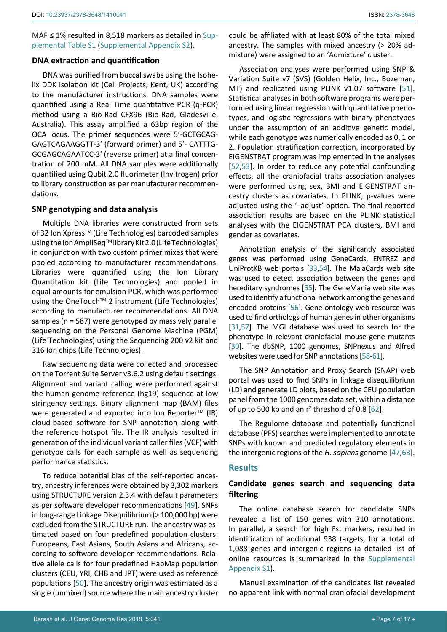MAF ≤ 1% resulted in 8,518 markers as detailed in [Sup](https://clinmedjournals.org/articles/jggr/jggr-5-041-supplemental-table-s1.doc)[plemental Table S1](https://clinmedjournals.org/articles/jggr/jggr-5-041-supplemental-table-s1.doc) ([Supplemental Appendix S2](https://clinmedjournals.org/articles/jggr/jggr-5-041-supplemental-appendix-s2.xlsx)).

## **DNA extraction and quantification**

DNA was purified from buccal swabs using the Isohelix DDK isolation kit (Cell Projects, Kent, UK) according to the manufacturer instructions. DNA samples were quantified using a Real Time quantitative PCR (q-PCR) method using a Bio-Rad CFX96 (Bio-Rad, Gladesville, Australia). This assay amplified a 63bp region of the OCA locus. The primer sequences were 5′-GCTGCAG-GAGTCAGAAGGTT-3′ (forward primer) and 5′- CATTTG-GCGAGCAGAATCC-3′ (reverse primer) at a final concentration of 200 mM. All DNA samples were additionally quantified using Qubit 2.0 fluorimeter (Invitrogen) prior to library construction as per manufacturer recommendations.

## **SNP genotyping and data analysis**

Multiple DNA libraries were constructed from sets of 32 Ion Xpress™ (Life Technologies) barcoded samples using the Ion AmpliSeq™ library Kit 2.0 (Life Technologies) in conjunction with two custom primer mixes that were pooled according to manufacturer recommendations. Libraries were quantified using the Ion Library Quantitation kit (Life Technologies) and pooled in equal amounts for emulsion PCR, which was performed using the OneTouch<sup>™</sup> 2 instrument (Life Technologies) according to manufacturer recommendations. All DNA samples (n = 587) were genotyped by massively parallel sequencing on the Personal Genome Machine (PGM) (Life Technologies) using the Sequencing 200 v2 kit and 316 Ion chips (Life Technologies).

Raw sequencing data were collected and processed on the Torrent Suite Server v3.6.2 using default settings. Alignment and variant calling were performed against the human genome reference (hg19) sequence at low stringency settings. Binary alignment map (BAM) files were generated and exported into Ion Reporter<sup>TM</sup> (IR) cloud-based software for SNP annotation along with the reference hotspot file. The IR analysis resulted in generation of the individual variant caller files (VCF) with genotype calls for each sample as well as sequencing performance statistics.

To reduce potential bias of the self-reported ancestry, ancestry inferences were obtained by 3,302 markers using STRUCTURE version 2.3.4 with default parameters as per software developer recommendations [[49\]](#page-15-15). SNPs in long-range Linkage Disequilibrium (> 100,000 bp) were excluded from the STRUCTURE run. The ancestry was estimated based on four predefined population clusters: Europeans, East Asians, South Asians and Africans, according to software developer recommendations. Relative allele calls for four predefined HapMap population clusters (CEU, YRI, CHB and JPT) were used as reference populations [[50\]](#page-15-16). The ancestry origin was estimated as a single (unmixed) source where the main ancestry cluster could be affiliated with at least 80% of the total mixed ancestry. The samples with mixed ancestry (> 20% admixture) were assigned to an 'Admixture' cluster.

Association analyses were performed using SNP & Variation Suite v7 (SVS) (Golden Helix, Inc., Bozeman, MT) and replicated using PLINK v1.07 software [\[51\]](#page-15-4). Statistical analyses in both software programs were performed using linear regression with quantitative phenotypes, and logistic regressions with binary phenotypes under the assumption of an additive genetic model, while each genotype was numerically encoded as 0, 1 or 2. Population stratification correction, incorporated by EIGENSTRAT program was implemented in the analyses [\[52](#page-15-5),[53](#page-15-6)]. In order to reduce any potential confounding effects, all the craniofacial traits association analyses were performed using sex, BMI and EIGENSTRAT ancestry clusters as covariates. In PLINK, p-values were adjusted using the '–adjust' option. The final reported association results are based on the PLINK statistical analyses with the EIGENSTRAT PCA clusters, BMI and gender as covariates.

Annotation analysis of the significantly associated genes was performed using [GeneCards,](http://www.genecards.org) [ENTREZ](http://www.ncbi.nlm.nih.gov/gene?cmd=Retrieve&dopt=full_report&list_uids=988) and [UniProtKB](http://www.uniprot.org/uniprot/Q99459#section_comments) web portals [\[33](#page-14-15),[54\]](#page-15-7). The [MalaCards](http://www.malacards.org) web site was used to detect association between the genes and hereditary syndromes [\[55\]](#page-15-8). The [GeneMania](http://www.genemania.org/) web site was used to identify a functional network among the genes and encoded proteins [\[56\]](#page-15-9). Gene ontology web resource was used to find orthologs of human genes in other organisms [\[31](#page-14-13),[57\]](#page-15-10). The [MGI](http://www.informatics.jax.org/allsearch.shtml) database was used to search for the phenotype in relevant craniofacial mouse gene mutants [\[30\]](#page-14-12). The dbSNP, 1000 genomes, [SNPnexus](http://snp-nexus.org) and [Alfred](http://alfred.med.yale.edu/Alfred/keywordsearchRes.asp)  websites were used for SNP annotations [\[58](#page-15-11)-[61\]](#page-15-12).

The SNP Annotation and Proxy Search [\(SNAP](http://www.broadinstitute.org/mpg/snap/ldsearch.php)) web portal was used to find SNPs in linkage disequilibrium (LD) and generate LD plots, based on the CEU population panel from the 1000 genomes data set, within a distance of up to 500 kb and an  $r^2$  threshold of 0.8 [\[62](#page-15-13)].

The [Regulome](http://www.regulomedb.org/) database and potentially functional database [\(PFS\)](http://genetics.bwh.harvard.edu/pph2/) searches were implemented to annotate SNPs with known and predicted regulatory elements in the intergenic regions of the *H. sapiens* genome [[47](#page-15-2),[63\]](#page-15-14).

## **Results**

# **Candidate genes search and sequencing data filtering**

The online database search for candidate SNPs revealed a list of 150 genes with 310 annotations. In parallel, a search for high Fst markers, resulted in identification of additional 938 targets, for a total of 1,088 genes and intergenic regions (a detailed list of online resources is summarized in the [Supplemental](https://clinmedjournals.org/articles/jggr/jggr-5-041-supplemental-appendix-s1.xlsx)  [Appendix S1](https://clinmedjournals.org/articles/jggr/jggr-5-041-supplemental-appendix-s1.xlsx)).

Manual examination of the candidates list revealed no apparent link with normal craniofacial development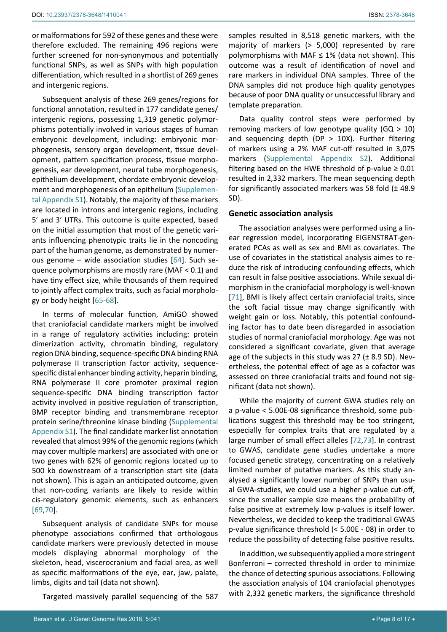or malformations for 592 of these genes and these were therefore excluded. The remaining 496 regions were further screened for non-synonymous and potentially functional SNPs, as well as SNPs with high population differentiation, which resulted in a shortlist of 269 genes and intergenic regions.

Subsequent analysis of these 269 genes/regions for functional annotation, resulted in 177 candidate genes/ intergenic regions, possessing 1,319 genetic polymorphisms potentially involved in various stages of human embryonic development, including: embryonic morphogenesis, sensory organ development, tissue development, pattern specification process, tissue morphogenesis, ear development, neural tube morphogenesis, epithelium development, chordate embryonic development and morphogenesis of an epithelium ([Supplemen](https://clinmedjournals.org/articles/jggr/jggr-5-041-supplemental-appendix-s1.xlsx)[tal Appendix S1](https://clinmedjournals.org/articles/jggr/jggr-5-041-supplemental-appendix-s1.xlsx)). Notably, the majority of these markers are located in introns and intergenic regions, including 5′ and 3′ UTRs. This outcome is quite expected, based on the initial assumption that most of the genetic variants influencing phenotypic traits lie in the noncoding part of the human genome, as demonstrated by numerous genome – wide association studies [[64](#page-15-20)]. Such sequence polymorphisms are mostly rare (MAF < 0.1) and have tiny effect size, while thousands of them required to jointly affect complex traits, such as facial morphology or body height [\[65](#page-15-21)-[68](#page-15-22)].

In terms of molecular function, AmiGO showed that craniofacial candidate markers might be involved in a range of regulatory activities including: protein dimerization activity, chromatin binding, regulatory region DNA binding, sequence-specific DNA binding RNA polymerase II transcription factor activity, sequencespecific distal enhancer binding activity, heparin binding, RNA polymerase II core promoter proximal region sequence-specific DNA binding transcription factor activity involved in positive regulation of transcription, [BMP receptor binding](http://bejerano.stanford.edu/great/public/cgi-bin/showTermDetails.php?termId=GO:0070700&ontoName=GOMolecularFunction&species=hg19&ontoUiName=GO Molecular Function&foreName=dbSNP137_ALL_in_IAD27211_HotSpots_SNPs_Dec24.bed&backName=&sessionName=20140106-public-2.0.2-8EqW9B) and [transmembrane receptor](http://bejerano.stanford.edu/great/public/cgi-bin/showTermDetails.php?termId=GO:0070696&ontoName=GOMolecularFunction&species=hg19&ontoUiName=GO Molecular Function&foreName=dbSNP137_ALL_in_IAD27211_HotSpots_SNPs_Dec24.bed&backName=&sessionName=20140106-public-2.0.2-8EqW9B)  [protein serine/threonine kinase binding](http://bejerano.stanford.edu/great/public/cgi-bin/showTermDetails.php?termId=GO:0070696&ontoName=GOMolecularFunction&species=hg19&ontoUiName=GO Molecular Function&foreName=dbSNP137_ALL_in_IAD27211_HotSpots_SNPs_Dec24.bed&backName=&sessionName=20140106-public-2.0.2-8EqW9B) ([Supplemental](https://clinmedjournals.org/articles/jggr/jggr-5-041-supplemental-appendix-s1.xlsx)  [Appendix S1](https://clinmedjournals.org/articles/jggr/jggr-5-041-supplemental-appendix-s1.xlsx)). The final candidate marker list annotation revealed that almost 99% of the genomic regions (which may cover multiple markers) are associated with one or two genes with 62% of genomic regions located up to 500 kb downstream of a transcription start site (data not shown). This is again an anticipated outcome, given that non-coding variants are likely to reside within cis-regulatory genomic elements, such as enhancers [[69](#page-15-23),[70\]](#page-15-24).

Subsequent analysis of candidate SNPs for mouse phenotype associations confirmed that orthologous candidate markers were previously detected in mouse models displaying abnormal morphology of the skeleton, head, viscerocranium and facial area, as well as specific malformations of the eye, ear, jaw, palate, limbs, digits and tail (data not shown).

Targeted massively parallel sequencing of the 587

samples resulted in 8,518 genetic markers, with the majority of markers (> 5,000) represented by rare polymorphisms with MAF ≤ 1% (data not shown). This outcome was a result of identification of novel and rare markers in individual DNA samples. Three of the DNA samples did not produce high quality genotypes because of poor DNA quality or unsuccessful library and template preparation.

Data quality control steps were performed by removing markers of low genotype quality (GQ > 10) and sequencing depth (DP  $>$  10X). Further filtering of markers using a 2% MAF cut-off resulted in 3,075 markers ([Supplemental Appendix S2](https://clinmedjournals.org/articles/jggr/jggr-5-041-supplemental-appendix-s2.xlsx)). Additional filtering based on the HWE threshold of p-value  $\geq 0.01$ resulted in 2,332 markers. The mean sequencing depth for significantly associated markers was 58 fold  $(± 48.9$ SD).

## **Genetic association analysis**

The association analyses were performed using a linear regression model, incorporating EIGENSTRAT-generated PCAs as well as sex and BMI as covariates. The use of covariates in the statistical analysis aimes to reduce the risk of introducing confounding effects, which can result in false positive associations. While sexual dimorphism in the craniofacial morphology is well-known [\[71](#page-15-17)], BMI is likely affect certain craniofacial traits, since the soft facial tissue may change significantly with weight gain or loss. Notably, this potential confounding factor has to date been disregarded in association studies of normal craniofacial morphology. Age was not considered a significant covariate, given that average age of the subjects in this study was 27 ( $\pm$  8.9 SD). Nevertheless, the potential effect of age as a cofactor was assessed on three craniofacial traits and found not significant (data not shown).

While the majority of current GWA studies rely on a p-value < 5.00E-08 significance threshold, some publications suggest this threshold may be too stringent, especially for complex traits that are regulated by a large number of small effect alleles [\[72](#page-15-18),[73](#page-15-19)]. In contrast to GWAS, candidate gene studies undertake a more focused genetic strategy, concentrating on a relatively limited number of putative markers. As this study analysed a significantly lower number of SNPs than usual GWA-studies, we could use a higher p-value cut-off, since the smaller sample size means the probability of false positive at extremely low p-values is itself lower. Nevertheless, we decided to keep the traditional GWAS p-value significance threshold (< 5.00E - 08) in order to reduce the possibility of detecting false positive results.

In addition, we subsequently applied a more stringent Bonferroni – corrected threshold in order to minimize the chance of detecting spurious associations. Following the association analysis of 104 craniofacial phenotypes with 2,332 genetic markers, the significance threshold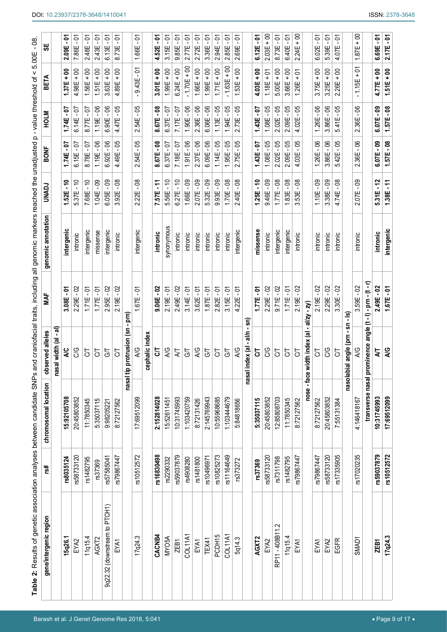| Table 2: Results of genetic association analyses between candidate SNPs and craniofacial traits, including all genomic markers reached the unadjusted p-value threshold of < |            |                       |                                 |                 |                    |                       |                    |                        |                         |                      |
|------------------------------------------------------------------------------------------------------------------------------------------------------------------------------|------------|-----------------------|---------------------------------|-----------------|--------------------|-----------------------|--------------------|------------------------|-------------------------|----------------------|
| gene/intergenic region                                                                                                                                                       | rs#        | chromosomal location  | observed alleles                | ≹               | genomic annotation | <b>UNADJ</b>          | <b>BONF</b>        | <b>NOLN</b>            | <b>BETA</b>             | မ္ဟ                  |
|                                                                                                                                                                              |            |                       | width (al - al)<br>nasal        |                 |                    |                       |                    |                        |                         |                      |
| 15q26.1                                                                                                                                                                      | rs8035124  | 15:92105708           | <b>AC</b>                       | $3.08E - 01$    | intergenic         | $1.52E - 10$          | -07<br>1.74E       | 1.74E-07               | $37E + 00$              | $2.09E - 01$         |
| EYA2                                                                                                                                                                         | rs58733120 | 20:45803852           | SG                              | $2.29E - 02$    | intronic           | $5.37E - 10$          | $6.15E - 07$       | $6.14E - 07$           | $4.98E + 00$            | $7.86E - 01$         |
| 11q15.4                                                                                                                                                                      | rs1482795  | 11:7850345            | 5                               | -01<br>1.71E    | intergenic         | $-10$<br>7.68E        | 5<br>8.78E         | -07<br>8.77E           | $+00$<br>56E            | č.<br>2.48E          |
| AGXT2                                                                                                                                                                        | rs37369    | 5:35037115            | 5                               | $-0-$<br>1.77E  | missense           | $-09$<br>1.04E        | g<br>1.19E         | $-06$<br>1.19E         | $+00$<br>51E            | 5<br>2.43E           |
| 9q22.32 (downstream to PTCH1)                                                                                                                                                | rs57585041 | 9:98205221            | 5                               | $-02$<br>2.95E  | intergenic         | $-09$<br>6.05E        | -06<br>6.92E       | පි<br>6.90E            | $rac{6}{1}$<br>3.63E    | 5<br>6.13E           |
| EYA1                                                                                                                                                                         | rs79867447 | 8:72127562            | 5                               | S<br>$2.19E -$  | intronic           | °.<br>3.92E           | -05<br>4.49E       | පි<br>4.47E            | $4.89E + 00$            | 5<br>8.73E           |
|                                                                                                                                                                              |            |                       | nasal tip protrusion (sn        | nue -           |                    |                       |                    |                        |                         |                      |
| 17q24.3                                                                                                                                                                      | rs10512572 | 17:69512099           | A/G                             | ັດ<br>1.67E     | intergenic         | $-08$<br>2.22E        | $2.54E - 05$       | $2.54E - 05$           | ς-<br>$9.43E -$         | ຸຣັ<br>1.66E         |
|                                                                                                                                                                              |            |                       | phalic index<br>ළි              |                 |                    |                       |                    |                        |                         |                      |
| CACNB4                                                                                                                                                                       | rs16830498 | 2:152814028           | 5                               | $9.06E - 02$    | intronic           | $7.57E - 11$          | $-08$<br>8.67E     | $\frac{8}{1}$<br>8.67E | $3.01E + 00$            | ຸຣັ<br>4.52E         |
| <b>MYO5A</b>                                                                                                                                                                 | rs2290332  | 15:52611451           | A/G                             | $2.19E - 01$    | synonymous         | $5.56E - 10$          | $6.37E - 07$       | $0.37E - 07$           | $1.99E + 00$            | $3.15E - 01$         |
| ZEB1                                                                                                                                                                         | rs59037879 | 10:31745993           | ZГ                              | $2.49E - 02$    | intronic           | $6.27E - 10$          | 7.18E-07           | $7.17E - 07$           | $6.24E + 00$            | $9.85E - 01$         |
| COL11A1                                                                                                                                                                      | rs4908280  | 1:103420759           | 5                               | $3.14E - 01$    | intronic           | $1.66E - 09$          | $1.91E - 06$       | $1.90E - 06$           | $1.70E + 00$            | $2.77E - 01$         |
| EYA1                                                                                                                                                                         | rs1481800  | 8:72131426            | A/G                             | $3.62E - 01$    | intronic           | $-09$<br>2.07E        | $-06$<br>2.37E     | $-06$<br>2.36E         | $.66E + 00$             | <u>ان</u> ۔<br>2.72E |
| TEX41                                                                                                                                                                        | s10496971  | 2:145769943           | 5                               | 5<br>1.87E      | intronic           | $-09$<br>5.32E        | -06<br>6.09E       | - 06<br>6.06E          | $00 + 366$              | 5.<br>3.36E          |
| PCDH15                                                                                                                                                                       | rs10825273 | 10:55968685           | 5                               | $-5$<br>2.82E   | intronic           | $-09$<br>9.93E        | -05<br>1.14E       | -05<br>1.13E           | $.71E + 00$             | čί<br>2.94E          |
| COL11A1                                                                                                                                                                      | rs11164649 | 1:103444679           | 5                               | $-5$<br>3.15E   | intronic           | $-08$<br>1.70E        | -05<br>95E         | -95<br>94E             | $+00$<br>1.63E          | δ<br>2.85E           |
| 5q14.3                                                                                                                                                                       | rs373272   | 5:84818656            | A/G                             | 5<br>22E<br>4.  | intergenic         | $-8^{\circ}$<br>2.40E | - 95<br>2.75E      | පි<br>2.73E            | $00 +$<br>1.53E         | 5<br>2.69E           |
|                                                                                                                                                                              |            |                       | al/n<br>dex (al<br>nasal in     | e<br>2          |                    |                       |                    |                        |                         |                      |
| AGXT2                                                                                                                                                                        | rs37369    | 5:35037115            | 5                               | $1.77E - 01$    | missense           | ۽<br>-<br>1.25E       | 10-<br>1.43E       | -0-<br>1.43E           | $\frac{8}{1}$<br>4.03E  | ຸຣັ<br>6.12E         |
| EYA2                                                                                                                                                                         | rs58733120 | 20:45803852           | SG                              | $2.29E - 02$    | intronic           | $9.46E - 09$          | $1.08E - 05$       | - 05<br>1.08E          | $1.18E + 01$            | $2.03E + 00$         |
| Ņ<br>RP11-408B11                                                                                                                                                             | rs7311798  | 12:85808703           | 5                               | $9.71E - 02$    | intergenic         | $1.77E - 08$          | $2.02E - 05$       | - 05<br>2.02E          | $5.00E + 00$            | ຸຣັ<br>8.73E         |
| 11q15.4                                                                                                                                                                      | rs1482795  | 11:7850345            | 5                               | $1.71E - 01$    | intergenic         | $1.83E - 08$          | $2.09E - 05$       | $2.09E - 05$           | $3.66E + 00$            | 6.40E - 01           |
| EYA'                                                                                                                                                                         | rs79867447 | 8:72127562            | 5                               | S<br>$2.19E -$  | intronic           | $-08$<br>3.53E        | $4.03E - 05$       | -95<br>4.02E           | $1.26E + 01$            | $2.24E + 00$         |
|                                                                                                                                                                              |            | nose - face wi        | tth index (al                   | - zy)<br>-al/zy |                    |                       |                    |                        |                         |                      |
| EYA1                                                                                                                                                                         | rs79867447 | 8:72127562            | 5                               | $2.19E - 02$    | intronic           | $1.10E - 09$          | $1.26E - 06$       | $1.26E - 06$           | $3.75E + 00$            | $6.02E - 01$         |
| EYA2                                                                                                                                                                         | rs58733120 | 20:45803852           | CG                              | $2.29E - 02$    | intronic           | $3.38E - 09$          | - 06<br>3.86E      | -06<br>3.86E           | $3.25E + 00$            | <u>ان</u> ۔<br>5.39E |
| EGFR                                                                                                                                                                         | rs17335905 | 7:55131384            | 5                               | $-02$<br>3.30E  | intronic           | $-08$<br>4.74E        | - 05<br>5.42E      | - 05<br>5.41E          | $2.26E + 00$            | <u>ان</u><br>4.07E   |
|                                                                                                                                                                              |            |                       | န္တ<br>angle (prn<br>hasolabial | <u>์ตุ</u>      |                    |                       |                    |                        |                         |                      |
| SMAD <sub>1</sub>                                                                                                                                                            | rs17020235 | 4:146418167           | A/G                             | - 02<br>3.59E   | intronic           | .<br>- მ<br>2.07E     | °.<br>2.36E        | - 06<br>2.36E          | $\frac{5}{10}$<br>1.15E | $1.87E + 00$         |
|                                                                                                                                                                              |            | transverse nasal pron | ninence angle (t-1)             | $-pm-(t-r)$     |                    |                       |                    |                        |                         |                      |
| ZEB1                                                                                                                                                                         | rs59037879 | 10:31745993           | 5                               | $-02$<br>2.49E  | intronic           | $-12$<br>5.31E        | <u>ვი</u><br>6.07E | <u>ာ</u><br>6.07E      | $4.77E + 00$            | ຸຣັ<br>6.69E         |
| 17q24.3                                                                                                                                                                      | rs10512572 | 17:69512099           | AG                              | $1.67E - 01$    | intergenic         | $1.38E - 11$          | $1.57E - 08$       | $1.57E - 08$           | $1.51E + 00$            | $2.17E - 01$         |

۳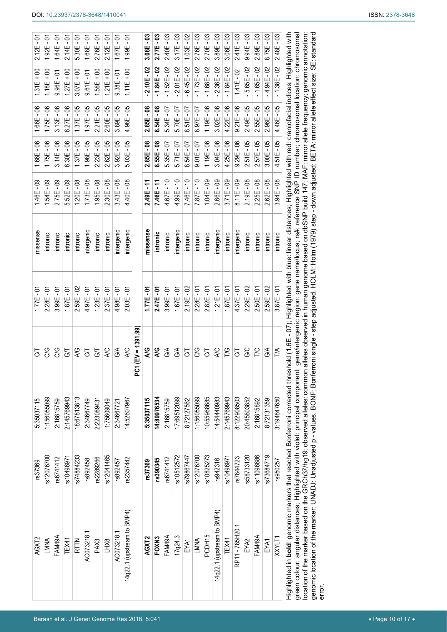| $2.12E - 01$ | $1.92E - 01$ | 1.64E-01     | $2.14E - 01$ | $5.30E - 01$ | $1.68E - 01$ | $2.76E - 01$ | $2.12E - 01$ | $1.67E - 01$ | $1.99E - 01$               |                       | $3.08E - 03$ | 2.77E-03      | $2.40E - 03$  | $3.17E - 03$ | $1.03E - 02$ | $2.76E - 03$  | $2.70E - 03$  | $3.89E - 03$               | $3.06E - 03$  | $2.41E - 03$    | $9.94E - 03$ | $2.89E - 03$  | $8.75E - 03$  | $2.48E - 03$  |                                                                                                                         |
|--------------|--------------|--------------|--------------|--------------|--------------|--------------|--------------|--------------|----------------------------|-----------------------|--------------|---------------|---------------|--------------|--------------|---------------|---------------|----------------------------|---------------|-----------------|--------------|---------------|---------------|---------------|-------------------------------------------------------------------------------------------------------------------------|
| $1.31E + 00$ | $1.18E + 00$ | $9.96E - 01$ | $1.27E + 00$ | $3.07E + 00$ | $9.61E - 01$ | $1.58E + 00$ | $1.21E + 00$ | $9.38E - 01$ | $1.11E + 00$               |                       | $2.10E - 02$ | $-1.84E - 02$ | $-1.52E - 02$ | $2.01E - 02$ | $6.45E - 02$ | $-1.73E - 02$ | $-1.68E - 02$ | $-2.36E - 02$              | $-1.84E - 02$ | $1.41E - 02$    | $5.65E - 02$ | $-1.65E - 02$ | $-4.94E - 02$ | $-1.38E - 02$ |                                                                                                                         |
| $1.66E - 06$ | $1.75E - 06$ | $3.13E - 06$ | $6.27E - 06$ | $1.37E - 05$ | $1.97E - 05$ | $2.21E - 05$ | $2.60E - 05$ | $3.89E - 05$ | $4.98E - 05$               |                       | $2.85E - 08$ | 8.54E-08      | 5.34E - 07    | $5.70E - 07$ | $8.51E - 07$ | 8.97E-07      | $1.19E - 06$  | $3.02E - 06$               | $4.22E - 06$  | $9.21E - 06$    | $2.49E - 05$ | 2.55E - 05    | $2.96E - 05$  | 4.46E - 05    |                                                                                                                         |
| $1.66E - 06$ | $1.75E - 06$ | $3.14E - 06$ | $6.30E - 06$ | $1.37E - 05$ | $1.98E - 05$ | $2.23E - 05$ | 2.62E - 05   | $3.92E - 05$ | $5.03E - 05$               |                       | $2.85E - 08$ | $8.55E - 08$  | 5.35E-07      | 5.71E-07     | 8.54E-07     | $9.01E - 07$  | $1.19E - 06$  | $3.04E - 06$               | $4.25E - 06$  | $9.29E - 06$    | $2.51E - 05$ | $2.57E - 05$  | $3.00E - 05$  | $4.51E - 05$  |                                                                                                                         |
| 1.46E - 09   | $1.54E - 09$ | $2.75E - 09$ | 5.52E - 09   | $1.20E - 08$ | $1.73E - 08$ | $1.95E - 08$ | $2.30E - 08$ | $3.43E - 08$ | 4.40E - 08                 |                       | $2.49E - 11$ | 7.46E-11      | $4.67E - 10$  | $4.99E - 10$ | $7.46E - 10$ | $7.87E - 10$  | $1.04E - 09$  | 2.66E - 09                 | $3.71E - 09$  | $8.11E - 09$    | $2.19E - 08$ | $2.25E - 08$  | $2.62E - 08$  | $3.94E - 08$  |                                                                                                                         |
| missense     | intronic     | intronic     | intronic     | intronic     | intergenic   | intronic     | intronic     | intergenic   | intergenic                 |                       | missense     | intronic      | intronic      | intergenic   | intronic     | intronic      | intronic      | intergenic                 | intronic      | intergenic      | intronic     | intronic      | intronic      | intronic      |                                                                                                                         |
| $1.77E - 01$ | 2.28E - 01   | $3.99E - 01$ | $1.87E - 01$ | $2.59E - 02$ | $4.97E - 01$ | $1.23E - 01$ | $2.37E - 01$ | $4.98E - 01$ | $2.03E - 01$               |                       | $1.77E - 01$ | $2.47E - 01$  | $3.99E - 01$  | $1.67E - 01$ | $2.19E - 02$ | $2.28E - 01$  | $2.82E - 01$  | $1.21E - 01$               | $1.87E - 01$  | 4.37E - 01      | 2.29E - 02   | $2.50E - 01$  | 2.59E-02      | $3.87E - 01$  | hold (1.6E - 07); Highlighted with blue: linear distances; Highlighted with red: craniofacial indices; Highlighted with |
| 5            | CG           | SG           | 5            | A/G          | 5            | 5            | <b>AC</b>    | 6A           | <b>AC</b>                  | $EV = 1391.99$<br>င့် | 5N           | 5N            | G/A           | G/A          | 5            | SG            | 5             | <b>AC</b>                  | T/G           | 5               | G/C          | <b>DAL</b>    | G/A           | TA            |                                                                                                                         |
| 5:35037115   | 1:156055099  | 2:16815759   | 2:145769943  | 18:67813813  | 2:34667749   | 2:223089431  | 1:75609049   | 2:34667721   | 14:52607967                |                       | 5:35037115   | 14:89976534   | 2:16815759    | 17:69512099  | 8:72127562   | 1:156055099   | 10:55968685   | 14:54440983                | 2:145769943   | 8:122908503     | 20:45803852  | 2:16815892    | 8:72131359    | 3:194847650   |                                                                                                                         |
| rs37369      | rs12076700   | rs6741412    | rs10496971   | rs74884233   | rs892458     | rs2289266    | rs12041465   | rs892457     | rs2357442                  |                       | rs37369      | rs390345      | rs6741412     | rs10512572   | rs79867447   | rs12076700    | rs10825273    | rs942316                   | rs10496971    | rs7844723       | rs58733120   | rs11096686    | rs73684719    | rs950257      |                                                                                                                         |
| AGXT2        | LMNA         | FAM49A       | TEX41        | <b>RTTN</b>  | AC073218.1   | PAX3         | LHX8         | AC073218.1   | 14q22.1 (upstream to BMP4) |                       | AGXT2        | FOXN3         | FAM49A        | 17q24.3      | EYA1         | LMNA          | PCDH15        | 14q22.1 (upstream to BMP4) | TEX41         | RP11 - 785H20.1 | EYA2         | FAM49A        | EYA1          | XXYLT1        | Highlighted in <b>bold</b> : genomic markers that reached Bonferroni corrected thresl                                   |

Highlighted in **bold**: genomic markers that reached Bonferroni corrected threshold (1.6E - 07); Highlighted with blue: linear distances; Highlighted with red: craniofacial indices; Highlighted with<br>green colour: angular di green colour: angular distances; Highlighted with violet: principal component; gene/intergenic region: gene name/locus; rs#: reference SNP ID number; chromosomal location: chromosomal location of the marker based on the GRCh37/hg19; observed alleles: common alleles observed in human genome based on dbSNP build 147; MAF: minor allele frequency; genomic annotation: genomic location of the marker; UNADJ: Unadjusted p - values. BONF: Bonferroni single - step adjusted. HOLM: Holm (1979) step - down adjusted; BETA: minor allele effect size; SE: standard<br>error. genomic location of the marker; UNADJ: Unadjusted p - values. BONF: Bonferroni single - step adjusted. HOLM: Holm (1979) step - down adjusted; BETA: minor allele effect size; SE: standard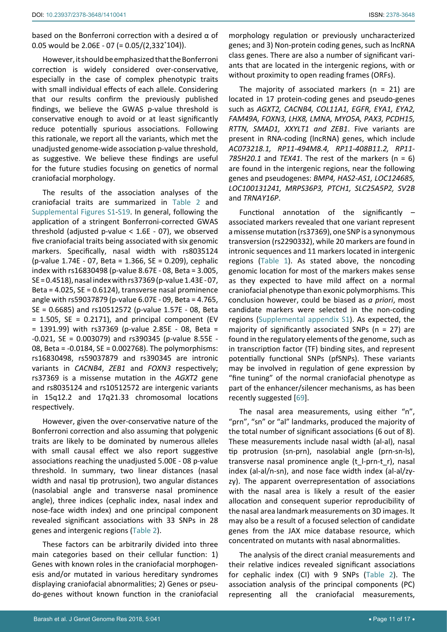based on the Bonferroni correction with a desired α of 0.05 would be 2.06E - 07 (= 0.05/(2,332\* 104)).

However, it should be emphasized that the Bonferroni correction is widely considered over-conservative, especially in the case of complex phenotypic traits with small individual effects of each allele. Considering that our results confirm the previously published findings, we believe the GWAS p-value threshold is conservative enough to avoid or at least significantly reduce potentially spurious associations. Following this rationale, we report all the variants, which met the unadjusted genome-wide association p-value threshold, as suggestive. We believe these findings are useful for the future studies focusing on genetics of normal craniofacial morphology.

The results of the association analyses of the craniofacial traits are summarized in Table 2 and [Supplemental Figures S1](https://clinmedjournals.org/articles/jggr/jggr-5-041-supplemental-figures.doc)-[S19](https://clinmedjournals.org/articles/jggr/jggr-5-041-supplemental-figures.doc). In general, following the application of a stringent Bonferroni-corrected GWAS threshold (adjusted p-value < 1.6E - 07), we observed five craniofacial traits being associated with six genomic markers. Specifically, nasal width with rs8035124 (p-value 1.74E - 07, Beta = 1.366, SE = 0.209), cephalic index with rs16830498 (p-value 8.67E - 08, Beta = 3.005, SE = 0.4518), nasal index with rs37369 (p-value 1.43E - 07, Beta = 4.025, SE = 0.6124), transverse nasal prominence angle with rs59037879 (p-value 6.07E - 09, Beta = 4.765, SE = 0.6685) and rs10512572 (p-value 1.57E - 08, Beta  $= 1.505$ , SE = 0.2171), and principal component (EV = 1391.99) with rs37369 (p-value 2.85E - 08, Beta = -0.021, SE = 0.003079) and rs390345 (p-value 8.55E - 08, Beta = -0.0184, SE = 0.002768). The polymorphisms: rs16830498, rs59037879 and rs390345 are intronic variants in *CACNB4*, *ZEB1* and *FOXN3* respectively; rs37369 is a missense mutation in the *AGXT2* gene and rs8035124 and rs10512572 are intergenic variants in 15q12.2 and 17q21.33 chromosomal locations respectively.

However, given the over-conservative nature of the Bonferroni correction and also assuming that polygenic traits are likely to be dominated by numerous alleles with small causal effect we also report suggestive associations reaching the unadjusted 5.00E - 08 p-value threshold. In summary, two linear distances (nasal width and nasal tip protrusion), two angular distances (nasolabial angle and transverse nasal prominence angle), three indices (cephalic index, nasal index and nose-face width index) and one principal component revealed significant associations with 33 SNPs in 28 genes and intergenic regions (Table 2).

These factors can be arbitrarily divided into three main categories based on their cellular function: 1) Genes with known roles in the craniofacial morphogenesis and/or mutated in various hereditary syndromes displaying craniofacial abnormalities; 2) Genes or pseudo-genes without known function in the craniofacial

morphology regulation or previously uncharacterized genes; and 3) Non-protein coding genes, such as lncRNA class genes. There are also a number of significant variants that are located in the intergenic regions, with or without proximity to open reading frames (ORFs).

The majority of associated markers ( $n = 21$ ) are located in 17 protein-coding genes and pseudo-genes such as *AGXT2, CACNB4, COL11A1, EGFR, EYA1, EYA2, FAM49A, FOXN3, LHX8, LMNA, MYO5A, PAX3, PCDH15, RTTN, SMAD1, XXYLT1 and ZEB1*. Five variants are present in RNA-coding (lncRNA) genes, which include *AC073218.1, RP11-494M8.4, RP11-408B11.2, RP11- 785H20.1* and *TEX41*. The rest of the markers (n = 6) are found in the intergenic regions, near the following genes and pseudogenes: *BMP4, HAS2-AS1, LOC124685, LOC100131241, MRPS36P3, PTCH1, SLC25A5P2, SV2B*  and *TRNAY16P*.

Functional annotation of the significantly – associated markers revealed that one variant represent a missense mutation (rs37369), one SNP is a synonymous transversion (rs2290332), while 20 markers are found in intronic sequences and 11 markers located in intergenic regions (Table 1). As stated above, the noncoding genomic location for most of the markers makes sense as they expected to have mild affect on a normal craniofacial phenotype than exonic polymorphisms. This conclusion however, could be biased as *a priori*, most candidate markers were selected in the non-coding regions ([Supplemental appendix S1\)](https://clinmedjournals.org/articles/jggr/jggr-5-041-supplemental-appendix-s1.xlsx). As expected, the majority of significantly associated SNPs ( $n = 27$ ) are found in the regulatory elements of the genome, such as in transcription factor (TF) binding sites, and represent potentially functional SNPs (pfSNPs). These variants may be involved in regulation of gene expression by "fine tuning" of the normal craniofacial phenotype as part of the enhancer/silencer mechanisms, as has been recently suggested [[69\]](#page-15-23).

The nasal area measurements, using either "n", "prn", "sn" or "al" landmarks, produced the majority of the total number of significant associations (6 out of 8). These measurements include nasal width (al-al), nasal tip protrusion (sn-prn), nasolabial angle (prn-sn-ls), transverse nasal prominence angle (t\_l-prn-t\_r), nasal index (al-al/n-sn), and nose face width index (al-al/zyzy). The apparent overrepresentation of associations with the nasal area is likely a result of the easier allocation and consequent superior reproducibility of the nasal area landmark measurements on 3D images. It may also be a result of a focused selection of candidate genes from the JAX mice database resource, which concentrated on mutants with nasal abnormalities.

The analysis of the direct cranial measurements and their relative indices revealed significant associations for cephalic index (CI) with 9 SNPs (Table 2). The association analysis of the principal components (PC) representing all the craniofacial measurements,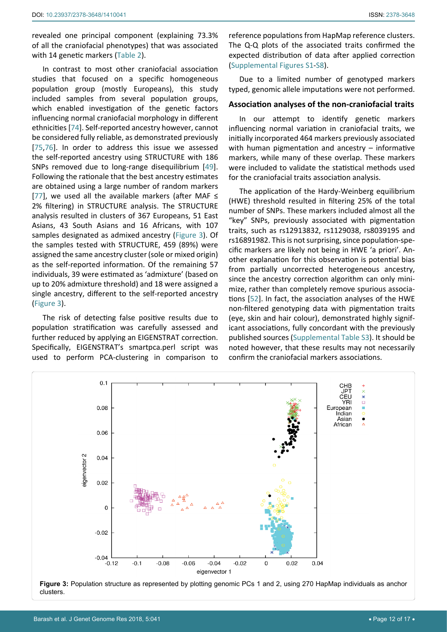revealed one principal component (explaining 73.3% of all the craniofacial phenotypes) that was associated with 14 genetic markers (Table 2).

In contrast to most other craniofacial association studies that focused on a specific homogeneous population group (mostly Europeans), this study included samples from several population groups, which enabled investigation of the genetic factors influencing normal craniofacial morphology in different ethnicities [\[74\]](#page-15-25). Self-reported ancestry however, cannot be considered fully reliable, as demonstrated previously [[75](#page-15-26),[76\]](#page-15-27). In order to address this issue we assessed the self-reported ancestry using STRUCTURE with 186 SNPs removed due to long-range disequilibrium [\[49](#page-15-15)]. Following the rationale that the best ancestry estimates are obtained using a large number of random markers [[77](#page-15-28)], we used all the available markers (after MAF  $\leq$ 2% filtering) in STRUCTURE analysis. The STRUCTURE analysis resulted in clusters of 367 Europeans, 51 East Asians, 43 South Asians and 16 Africans, with 107 samples designated as admixed ancestry (Figure 3). Of the samples tested with STRUCTURE, 459 (89%) were assigned the same ancestry cluster (sole or mixed origin) as the self-reported information. Of the remaining 57 individuals, 39 were estimated as 'admixture' (based on up to 20% admixture threshold) and 18 were assigned a single ancestry, different to the self-reported ancestry (Figure 3).

The risk of detecting false positive results due to population stratification was carefully assessed and further reduced by applying an EIGENSTRAT correction. Specifically, EIGENSTRAT's smartpca.perl script was used to perform PCA-clustering in comparison to

reference populations from HapMap reference clusters. The Q-Q plots of the associated traits confirmed the expected distribution of data after applied correction ([Supplemental Figures S1](https://clinmedjournals.org/articles/jggr/jggr-5-041-supplemental-figures.doc)-[S8\)](https://clinmedjournals.org/articles/jggr/jggr-5-041-supplemental-figures.doc).

Due to a limited number of genotyped markers typed, genomic allele imputations were not performed.

## **Association analyses of the non-craniofacial traits**

In our attempt to identify genetic markers influencing normal variation in craniofacial traits, we initially incorporated 464 markers previously associated with human pigmentation and ancestry - informative markers, while many of these overlap. These markers were included to validate the statistical methods used for the craniofacial traits association analysis.

The application of the Hardy-Weinberg equilibrium (HWE) threshold resulted in filtering 25% of the total number of SNPs. These markers included almost all the "key" SNPs, previously associated with pigmentation traits, such as rs12913832, rs1129038, rs8039195 and rs16891982. This is not surprising, since population-specific markers are likely not being in HWE 'a priori'. Another explanation for this observation is potential bias from partially uncorrected heterogeneous ancestry, since the ancestry correction algorithm can only minimize, rather than completely remove spurious associations [\[52](#page-15-5)]. In fact, the association analyses of the HWE non-filtered genotyping data with pigmentation traits (eye, skin and hair colour), demonstrated highly significant associations, fully concordant with the previously published sources ([Supplemental Table S3](https://clinmedjournals.org/articles/jggr/jggr-5-041-supplemental-table-s3.doc)). It should be noted however, that these results may not necessarily confirm the craniofacial markers associations.



**Figure 3:** Population structure as represented by plotting genomic PCs 1 and 2, using 270 HapMap individuals as anchor clusters.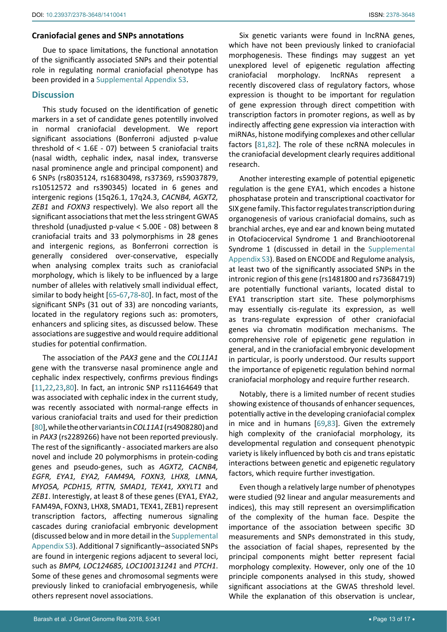## **Craniofacial genes and SNPs annotations**

Due to space limitations, the functional annotation of the significantly associated SNPs and their potential role in regulating normal craniofacial phenotype has been provided in a [Supplemental Appendix S3](https://clinmedjournals.org/articles/jggr/jggr-5-041-supplemental-appendix-s3.doc).

## **Discussion**

This study focused on the identification of genetic markers in a set of candidate genes potentilly involved in normal craniofacial development. We report significant associations (Bonferroni adjusted p-value threshold of < 1.6E - 07) between 5 craniofacial traits (nasal width, cephalic index, nasal index, transverse nasal prominence angle and principal component) and 6 SNPs (rs8035124, rs16830498, rs37369, rs59037879, rs10512572 and rs390345) located in 6 genes and intergenic regions (15q26.1, 17q24.3, *CACNB4, AGXT2, ZEB1* and *FOXN3* respectively). We also report all the significant associations that met the less stringent GWAS threshold (unadjusted p-value < 5.00E - 08) between 8 craniofacial traits and 33 polymorphisms in 28 genes and intergenic regions, as Bonferroni correction is generally considered over-conservative, especially when analysing complex traits such as craniofacial morphology, which is likely to be influenced by a large number of alleles with relatively small individual effect, similar to body height [[65](#page-15-21)-[67](#page-15-29),[78](#page-15-30)[-80](#page-15-31)]. In fact, most of the significant SNPs (31 out of 33) are noncoding variants, located in the regulatory regions such as: promoters, enhancers and splicing sites, as discussed below. These associations are suggestive and would require additional studies for potential confirmation.

The association of the *PAX3* gene and the *COL11A1* gene with the transverse nasal prominence angle and cephalic index respectively, confirms previous findings [[11](#page-14-0),[22,](#page-14-19)[23](#page-14-6),[80](#page-15-31)]. In fact, an intronic SNP rs11164649 that was associated with cephalic index in the current study, was recently associated with normal-range effects in various craniofacial traits and used for their prediction [[80](#page-15-31)], while the other variants in *COL11A1* (rs4908280) and in *PAX3* (rs2289266) have not been reported previously. The rest of the significantly - associated markers are also novel and include 20 polymorphisms in protein-coding genes and pseudo-genes, such as *AGXT2, CACNB4, EGFR, EYA1, EYA2, FAM49A, FOXN3, LHX8, LMNA, MYO5A, PCDH15, RTTN, SMAD1, TEX41, XXYLT1* and *ZEB1*. Interestigly, at least 8 of these genes (EYA1, EYA2, FAM49A, FOXN3, LHX8, SMAD1, TEX41, ZEB1) represent transcription factors, affecting numerous signaling cascades during craniofacial embryonic development (discussed below and in more detail in the [Supplemental](https://clinmedjournals.org/articles/jggr/jggr-5-041-supplemental-appendix-s3.doc)  [Appendix S3](https://clinmedjournals.org/articles/jggr/jggr-5-041-supplemental-appendix-s3.doc)). Additional 7 significantly–associated SNPs are found in intergenic regions adjacent to several loci, such as *BMP4, LOC124685, LOC100131241* and *PTCH1*. Some of these genes and chromosomal segments were previously linked to craniofacial embryogenesis, while others represent novel associations.

Six genetic variants were found in lncRNA genes, which have not been previously linked to craniofacial morphogenesis. These findings may suggest an yet unexplored level of epigenetic regulation affecting craniofacial morphology. IncRNAs represent recently discovered class of regulatory factors, whose expression is thought to be important for regulation of gene expression through direct competition with transcription factors in promoter regions, as well as by indirectly affecting gene expression via interaction with miRNAs, histone modifying complexes and other cellular factors [[81](#page-16-0),[82](#page-16-1)]. The role of these ncRNA molecules in the craniofacial development clearly requires additional research.

Another interesting example of potential epigenetic regulation is the gene EYA1, which encodes a histone phosphatase protein and transcriptional coactivator for SIX gene family. This factor regulates transcription during organogenesis of various craniofacial domains, such as branchial arches, eye and ear and known being mutated in Otofaciocervical Syndrome 1 and Branchiootorenal Syndrome 1 (discussed in detail in the [Supplemental](https://clinmedjournals.org/articles/jggr/jggr-5-041-supplemental-appendix-s3.doc)  [Appendix S3\)](https://clinmedjournals.org/articles/jggr/jggr-5-041-supplemental-appendix-s3.doc). Based on ENCODE and Regulome analysis, at least two of the significantly associated SNPs in the intronic region of this gene (rs1481800 and rs73684719) are potentially functional variants, located distal to EYA1 transcription start site. These polymorphisms may essentially cis-regulate its expression, as well as trans-regulate expression of other craniofacial genes via chromatin modification mechanisms. The comprehensive role of epigenetic gene regulation in general, and in the craniofacial embryonic development in particular, is poorly understood. Our results support the importance of epigenetic regulation behind normal craniofacial morphology and require further research.

Notably, there is a limited number of recent studies showing existence of thousands of enhancer sequences, potentially active in the developing craniofacial complex in mice and in humans [[69](#page-15-23),[83](#page-16-2)]. Given the extremely high complexity of the craniofacial morphology, its developmental regulation and consequent phenotypic variety is likely influenced by both cis and trans epistatic interactions between genetic and epigenetic regulatory factors, which require further investigation.

Even though a relatively large number of phenotypes were studied (92 linear and angular measurements and indices), this may still represent an oversimplification of the complexity of the human face. Despite the importance of the association between specific 3D measurements and SNPs demonstrated in this study, the association of facial shapes, represented by the principal components might better represent facial morphology complexity. However, only one of the 10 principle components analysed in this study, showed significant associations at the GWAS threshold level. While the explanation of this observation is unclear,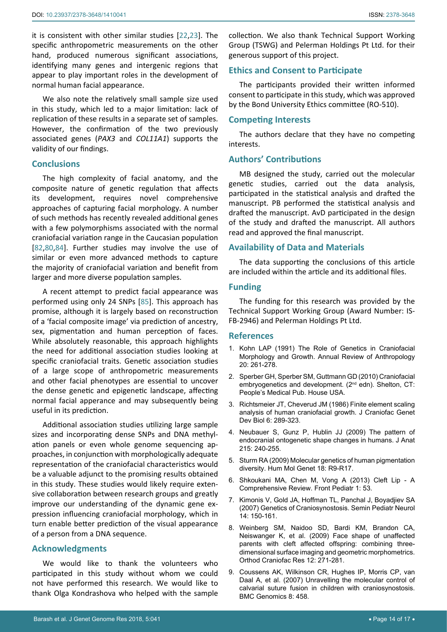it is consistent with other similar studies [[22,](#page-14-19)[23\]](#page-14-6). The specific anthropometric measurements on the other hand, produced numerous significant associations, identifying many genes and intergenic regions that appear to play important roles in the development of normal human facial appearance.

We also note the relatively small sample size used in this study, which led to a major limitation: lack of replication of these results in a separate set of samples. However, the confirmation of the two previously associated genes (*PAX3* and *COL11A1*) supports the validity of our findings.

## **Conclusions**

The high complexity of facial anatomy, and the composite nature of genetic regulation that affects its development, requires novel comprehensive approaches of capturing facial morphology. A number of such methods has recently revealed additional genes with a few polymorphisms associated with the normal craniofacial variation range in the Caucasian population [[82](#page-16-1),[80,](#page-15-31)[84\]](#page-16-3). Further studies may involve the use of similar or even more advanced methods to capture the majority of craniofacial variation and benefit from larger and more diverse population samples.

A recent attempt to predict facial appearance was performed using only 24 SNPs [\[85](#page-16-4)]. This approach has promise, although it is largely based on reconstruction of a 'facial composite image' via prediction of ancestry, sex, pigmentation and human perception of faces. While absolutely reasonable, this approach highlights the need for additional association studies looking at specific craniofacial traits. Genetic association studies of a large scope of anthropometric measurements and other facial phenotypes are essential to uncover the dense genetic and epigenetic landscape, affecting normal facial apperance and may subsequently being useful in its prediction.

Additional association studies utilizing large sample sizes and incorporating dense SNPs and DNA methylation panels or even whole genome sequencing approaches, in conjunction with morphologically adequate representation of the craniofacial characteristics would be a valuable adjunct to the promising results obtained in this study. These studies would likely require extensive collaboration between research groups and greatly improve our understanding of the dynamic gene expression influencing craniofacial morphology, which in turn enable better prediction of the visual appearance of a person from a DNA sequence.

## **Acknowledgments**

We would like to thank the volunteers who participated in this study without whom we could not have performed this research. We would like to thank Olga Kondrashova who helped with the sample

collection. We also thank Technical Support Working Group (TSWG) and Pelerman Holdings Pt Ltd. for their generous support of this project.

# **Ethics and Consent to Participate**

The participants provided their written informed consent to participate in this study, which was approved by the Bond University Ethics committee (RO-510).

## **Competing Interests**

The authors declare that they have no competing interests.

# **Authors' Contributions**

MB designed the study, carried out the molecular genetic studies, carried out the data analysis, participated in the statistical analysis and drafted the manuscript. PB performed the statistical analysis and drafted the manuscript. AvD participated in the design of the study and drafted the manuscript. All authors read and approved the final manuscript.

## **Availability of Data and Materials**

The data supporting the conclusions of this article are included within the article and its additional files.

## **Funding**

The funding for this research was provided by the Technical Support Working Group (Award Number: IS-FB-2946) and Pelerman Holdings Pt Ltd.

## **References**

- <span id="page-13-5"></span>1. [Kohn LAP \(1991\) The Role of Genetics in Craniofacial](https://www.annualreviews.org/doi/abs/10.1146/annurev.an.20.100191.001401)  [Morphology and Growth. Annual Review of Anthropology](https://www.annualreviews.org/doi/abs/10.1146/annurev.an.20.100191.001401)  [20: 261-278.](https://www.annualreviews.org/doi/abs/10.1146/annurev.an.20.100191.001401)
- <span id="page-13-0"></span>2. Sperber GH, Sperber SM, Guttmann GD (2010) Craniofacial embryogenetics and development. (2<sup>nd</sup> edn). Shelton, CT: People's Medical Pub. House USA.
- <span id="page-13-6"></span>3. [Richtsmeier JT, Cheverud JM \(1986\) Finite element scaling](https://www.ncbi.nlm.nih.gov/pubmed/3771738)  [analysis of human craniofacial growth. J Craniofac Genet](https://www.ncbi.nlm.nih.gov/pubmed/3771738)  [Dev Biol 6: 289-323.](https://www.ncbi.nlm.nih.gov/pubmed/3771738)
- <span id="page-13-7"></span>4. [Neubauer S, Gunz P, Hublin JJ \(2009\) The pattern of](https://www.ncbi.nlm.nih.gov/pubmed/19531085)  [endocranial ontogenetic shape changes in humans. J Anat](https://www.ncbi.nlm.nih.gov/pubmed/19531085)  [215: 240-255.](https://www.ncbi.nlm.nih.gov/pubmed/19531085)
- <span id="page-13-8"></span>5. [Sturm RA \(2009\) Molecular genetics of human pigmentation](https://www.ncbi.nlm.nih.gov/pubmed/19297406)  [diversity. Hum Mol Genet 18: R9-R17.](https://www.ncbi.nlm.nih.gov/pubmed/19297406)
- <span id="page-13-1"></span>6. [Shkoukani MA, Chen M, Vong A \(2013\) Cleft Lip - A](https://www.ncbi.nlm.nih.gov/pubmed/24400297)  [Comprehensive Review. Front Pediatr 1: 53.](https://www.ncbi.nlm.nih.gov/pubmed/24400297)
- <span id="page-13-2"></span>7. [Kimonis V, Gold JA, Hoffman TL, Panchal J, Boyadjiev SA](https://www.ncbi.nlm.nih.gov/pubmed/17980312)  [\(2007\) Genetics of Craniosynostosis. Semin Pediatr Neurol](https://www.ncbi.nlm.nih.gov/pubmed/17980312)  [14: 150-161.](https://www.ncbi.nlm.nih.gov/pubmed/17980312)
- <span id="page-13-3"></span>8. [Weinberg SM, Naidoo SD, Bardi KM, Brandon CA,](https://www.ncbi.nlm.nih.gov/pubmed/19840279)  [Neiswanger K, et al. \(2009\) Face shape of unaffected](https://www.ncbi.nlm.nih.gov/pubmed/19840279)  [parents with cleft affected offspring: combining three](https://www.ncbi.nlm.nih.gov/pubmed/19840279)[dimensional surface imaging and geometric morphometrics.](https://www.ncbi.nlm.nih.gov/pubmed/19840279)  [Orthod Craniofac Res 12: 271-281.](https://www.ncbi.nlm.nih.gov/pubmed/19840279)
- <span id="page-13-4"></span>9. [Coussens AK, Wilkinson CR, Hughes IP, Morris CP, van](https://www.ncbi.nlm.nih.gov/pubmed/18076769)  [Daal A, et al. \(2007\) Unravelling the molecular control of](https://www.ncbi.nlm.nih.gov/pubmed/18076769)  [calvarial suture fusion in children with craniosynostosis.](https://www.ncbi.nlm.nih.gov/pubmed/18076769)  [BMC Genomics 8: 458.](https://www.ncbi.nlm.nih.gov/pubmed/18076769)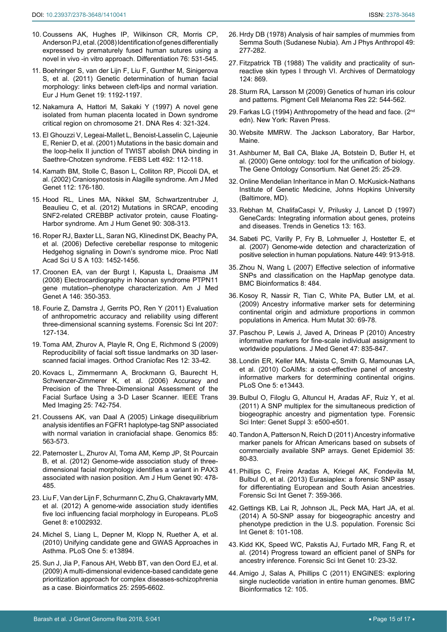- 10. [Coussens AK, Hughes IP, Wilkinson CR, Morris CP,](https://www.ncbi.nlm.nih.gov/pubmed/18093228)  [Anderson PJ, et al. \(2008\) Identification of genes differentially](https://www.ncbi.nlm.nih.gov/pubmed/18093228)  [expressed by prematurely fused human sutures using a](https://www.ncbi.nlm.nih.gov/pubmed/18093228)  [novel in vivo -in vitro approach. Differentiation 76: 531-545.](https://www.ncbi.nlm.nih.gov/pubmed/18093228)
- <span id="page-14-0"></span>11. [Boehringer S, van der Lijn F, Liu F, Gunther M, Sinigerova](https://www.ncbi.nlm.nih.gov/pubmed/21694738)  [S, et al. \(2011\) Genetic determination of human facial](https://www.ncbi.nlm.nih.gov/pubmed/21694738)  [morphology: links between cleft-lips and normal variation.](https://www.ncbi.nlm.nih.gov/pubmed/21694738)  [Eur J Hum Genet 19: 1192-1197.](https://www.ncbi.nlm.nih.gov/pubmed/21694738)
- <span id="page-14-1"></span>12. [Nakamura A, Hattori M, Sakaki Y \(1997\) A novel gene](https://www.ncbi.nlm.nih.gov/pubmed/9455479)  [isolated from human placenta located in Down syndrome](https://www.ncbi.nlm.nih.gov/pubmed/9455479)  [critical region on chromosome 21. DNA Res 4: 321-324.](https://www.ncbi.nlm.nih.gov/pubmed/9455479)
- 13. [El Ghouzzi V, Legeai-Mallet L, Benoist-Lasselin C, Lajeunie](https://www.ncbi.nlm.nih.gov/pubmed/11248247)  [E, Renier D, et al. \(2001\) Mutations in the basic domain and](https://www.ncbi.nlm.nih.gov/pubmed/11248247)  [the loop-helix II junction of TWIST abolish DNA binding in](https://www.ncbi.nlm.nih.gov/pubmed/11248247)  [Saethre-Chotzen syndrome. FEBS Lett 492: 112-118.](https://www.ncbi.nlm.nih.gov/pubmed/11248247)
- 14. [Kamath BM, Stolle C, Bason L, Colliton RP, Piccoli DA, et](https://www.ncbi.nlm.nih.gov/pubmed/12244552)  [al. \(2002\) Craniosynostosis in Alagille syndrome. Am J Med](https://www.ncbi.nlm.nih.gov/pubmed/12244552)  [Genet 112: 176-180.](https://www.ncbi.nlm.nih.gov/pubmed/12244552)
- 15. [Hood RL, Lines MA, Nikkel SM, Schwartzentruber J,](https://www.ncbi.nlm.nih.gov/pubmed/22265015)  [Beaulieu C, et al. \(2012\) Mutations in SRCAP, encoding](https://www.ncbi.nlm.nih.gov/pubmed/22265015)  [SNF2-related CREBBP activator protein, cause Floating-](https://www.ncbi.nlm.nih.gov/pubmed/22265015)[Harbor syndrome. Am J Hum Genet 90: 308-313.](https://www.ncbi.nlm.nih.gov/pubmed/22265015)
- 16. [Roper RJ, Baxter LL, Saran NG, Klinedinst DK, Beachy PA,](https://www.ncbi.nlm.nih.gov/pubmed/16432181)  [et al. \(2006\) Defective cerebellar response to mitogenic](https://www.ncbi.nlm.nih.gov/pubmed/16432181)  [Hedgehog signaling in Down's syndrome mice. Proc Natl](https://www.ncbi.nlm.nih.gov/pubmed/16432181)  [Acad Sci U S A 103: 1452-1456.](https://www.ncbi.nlm.nih.gov/pubmed/16432181)
- <span id="page-14-2"></span>17. [Croonen EA, van der Burgt I, Kapusta L, Draaisma JM](https://www.ncbi.nlm.nih.gov/pubmed/18203203)  [\(2008\) Electrocardiography in Noonan syndrome PTPN11](https://www.ncbi.nlm.nih.gov/pubmed/18203203)  [gene mutation--phenotype characterization. Am J Med](https://www.ncbi.nlm.nih.gov/pubmed/18203203)  [Genet A 146: 350-353.](https://www.ncbi.nlm.nih.gov/pubmed/18203203)
- <span id="page-14-3"></span>18. [Fourie Z, Damstra J, Gerrits PO, Ren Y \(2011\) Evaluation](https://www.ncbi.nlm.nih.gov/pubmed/20951517)  [of anthropometric accuracy and reliability using different](https://www.ncbi.nlm.nih.gov/pubmed/20951517)  [three-dimensional scanning systems. Forensic Sci Int 207:](https://www.ncbi.nlm.nih.gov/pubmed/20951517)  [127-134.](https://www.ncbi.nlm.nih.gov/pubmed/20951517)
- 19. [Toma AM, Zhurov A, Playle R, Ong E, Richmond S \(2009\)](https://www.ncbi.nlm.nih.gov/pubmed/19154273)  [Reproducibility of facial soft tissue landmarks on 3D laser](https://www.ncbi.nlm.nih.gov/pubmed/19154273)[scanned facial images. Orthod Craniofac Res 12: 33-42.](https://www.ncbi.nlm.nih.gov/pubmed/19154273)
- <span id="page-14-4"></span>20. [Kovacs L, Zimmermann A, Brockmann G, Baurecht H,](https://www.ncbi.nlm.nih.gov/pubmed/16768239)  [Schwenzer-Zimmerer K, et al. \(2006\) Accuracy and](https://www.ncbi.nlm.nih.gov/pubmed/16768239)  [Precision of the Three-Dimensional Assessment of the](https://www.ncbi.nlm.nih.gov/pubmed/16768239)  [Facial Surface Using a 3-D Laser Scanner. IEEE Trans](https://www.ncbi.nlm.nih.gov/pubmed/16768239)  [Med Imaging 25: 742-754.](https://www.ncbi.nlm.nih.gov/pubmed/16768239)
- <span id="page-14-5"></span>21. [Coussens AK, van Daal A \(2005\) Linkage disequilibrium](https://www.ncbi.nlm.nih.gov/pubmed/15820308)  [analysis identifies an FGFR1 haplotype-tag SNP associated](https://www.ncbi.nlm.nih.gov/pubmed/15820308)  [with normal variation in craniofacial shape. Genomics 85:](https://www.ncbi.nlm.nih.gov/pubmed/15820308)  [563-573.](https://www.ncbi.nlm.nih.gov/pubmed/15820308)
- <span id="page-14-19"></span>22. [Paternoster L, Zhurov AI, Toma AM, Kemp JP, St Pourcain](https://www.ncbi.nlm.nih.gov/pubmed/22341974)  [B, et al. \(2012\) Genome-wide association study of three](https://www.ncbi.nlm.nih.gov/pubmed/22341974)[dimensional facial morphology identifies a variant in PAX3](https://www.ncbi.nlm.nih.gov/pubmed/22341974)  [associated with nasion position. Am J Hum Genet 90: 478-](https://www.ncbi.nlm.nih.gov/pubmed/22341974) [485.](https://www.ncbi.nlm.nih.gov/pubmed/22341974)
- <span id="page-14-6"></span>23. [Liu F, Van der Lijn F, Schurmann C, Zhu G, Chakravarty MM,](https://www.ncbi.nlm.nih.gov/pubmed/23028347)  [et al. \(2012\) A genome-wide association study identifies](https://www.ncbi.nlm.nih.gov/pubmed/23028347)  [five loci influencing facial morphology in Europeans. PLoS](https://www.ncbi.nlm.nih.gov/pubmed/23028347)  [Genet 8: e1002932.](https://www.ncbi.nlm.nih.gov/pubmed/23028347)
- <span id="page-14-7"></span>24. [Michel S, Liang L, Depner M, Klopp N, Ruether A, et al.](https://www.ncbi.nlm.nih.gov/pubmed/21103062)  [\(2010\) Unifying candidate gene and GWAS Approaches in](https://www.ncbi.nlm.nih.gov/pubmed/21103062)  [Asthma. PLoS One 5: e13894.](https://www.ncbi.nlm.nih.gov/pubmed/21103062)
- <span id="page-14-8"></span>25. [Sun J, Jia P, Fanous AH, Webb BT, van den Oord EJ, et al.](https://www.ncbi.nlm.nih.gov/pubmed/19602527)  [\(2009\) A multi-dimensional evidence-based candidate gene](https://www.ncbi.nlm.nih.gov/pubmed/19602527)  [prioritization approach for complex diseases-schizophrenia](https://www.ncbi.nlm.nih.gov/pubmed/19602527)  [as a case. Bioinformatics 25: 2595-6602.](https://www.ncbi.nlm.nih.gov/pubmed/19602527)
- <span id="page-14-9"></span>26. [Hrdy DB \(1978\) Analysis of hair samples of mummies from](https://www.ncbi.nlm.nih.gov/pubmed/717558)  [Semma South \(Sudanese Nubia\). Am J Phys Anthropol 49:](https://www.ncbi.nlm.nih.gov/pubmed/717558)  [277-282.](https://www.ncbi.nlm.nih.gov/pubmed/717558)
- 27. [Fitzpatrick TB \(1988\) The validity and practicality of sun](https://www.ncbi.nlm.nih.gov/pubmed/3377516)[reactive skin types I through VI. Archives of Dermatology](https://www.ncbi.nlm.nih.gov/pubmed/3377516)  [124: 869.](https://www.ncbi.nlm.nih.gov/pubmed/3377516)
- <span id="page-14-10"></span>28. [Sturm RA, Larsson M \(2009\) Genetics of human iris colour](https://www.ncbi.nlm.nih.gov/pubmed/19619260)  [and patterns. Pigment Cell Melanoma Res 22: 544-562](https://www.ncbi.nlm.nih.gov/pubmed/19619260).
- <span id="page-14-11"></span>29. Farkas LG (1994) Anthropometry of the head and face. (2<sup>nd</sup>) edn). New York: Raven Press.
- <span id="page-14-12"></span>30. [Website MMRW. The Jackson Laboratory, Bar Harbor,](https://www.jax.org/research-and-faculty/resources/mouse-mutant-resource)  [Maine.](https://www.jax.org/research-and-faculty/resources/mouse-mutant-resource)
- <span id="page-14-13"></span>31. [Ashburner M, Ball CA, Blake JA, Botstein D, Butler H, et](https://www.ncbi.nlm.nih.gov/pubmed/10802651)  [al. \(2000\) Gene ontology: tool for the unification of biology.](https://www.ncbi.nlm.nih.gov/pubmed/10802651)  [The Gene Ontology Consortium. Nat Genet 25: 25-29.](https://www.ncbi.nlm.nih.gov/pubmed/10802651)
- <span id="page-14-14"></span>32. [Online Mendelian Inheritance in Man O. McKusick-Nathans](http://omim.org/)  [Institute of Genetic Medicine, Johns Hopkins University](http://omim.org/)  [\(Baltimore, MD\).](http://omim.org/)
- <span id="page-14-15"></span>33. [Rebhan M, ChalifaCaspi V, Prilusky J, Lancet D \(1997\)](https://www.ncbi.nlm.nih.gov/pubmed/9097728)  [GeneCards: Integrating information about genes, proteins](https://www.ncbi.nlm.nih.gov/pubmed/9097728)  [and diseases. Trends in Genetics 13: 163.](https://www.ncbi.nlm.nih.gov/pubmed/9097728)
- <span id="page-14-16"></span>34. [Sabeti PC, Varilly P, Fry B, Lohmueller J, Hostetter E, et](https://www.ncbi.nlm.nih.gov/pubmed/17943131)  [al. \(2007\) Genome-wide detection and characterization of](https://www.ncbi.nlm.nih.gov/pubmed/17943131)  [positive selection in human populations. Nature 449: 913-918.](https://www.ncbi.nlm.nih.gov/pubmed/17943131)
- 35. [Zhou N, Wang L \(2007\) Effective selection of informative](https://www.ncbi.nlm.nih.gov/pubmed/18093342)  [SNPs and classification on the HapMap genotype data.](https://www.ncbi.nlm.nih.gov/pubmed/18093342)  [BMC Bioinformatics 8: 484.](https://www.ncbi.nlm.nih.gov/pubmed/18093342)
- 36. [Kosoy R, Nassir R, Tian C, White PA, Butler LM, et al.](https://www.ncbi.nlm.nih.gov/pubmed/18683858)  [\(2009\) Ancestry informative marker sets for determining](https://www.ncbi.nlm.nih.gov/pubmed/18683858)  [continental origin and admixture proportions in common](https://www.ncbi.nlm.nih.gov/pubmed/18683858)  [populations in America. Hum Mutat 30: 69-78.](https://www.ncbi.nlm.nih.gov/pubmed/18683858)
- 37. [Paschou P, Lewis J, Javed A, Drineas P \(2010\) Ancestry](https://www.ncbi.nlm.nih.gov/pubmed/20921023)  [informative markers for fine-scale individual assignment to](https://www.ncbi.nlm.nih.gov/pubmed/20921023)  [worldwide populations. J Med Genet 47: 835-847.](https://www.ncbi.nlm.nih.gov/pubmed/20921023)
- 38. [Londin ER, Keller MA, Maista C, Smith G, Mamounas LA,](https://www.ncbi.nlm.nih.gov/pubmed/20976178)  [et al. \(2010\) CoAIMs: a cost-effective panel of ancestry](https://www.ncbi.nlm.nih.gov/pubmed/20976178)  [informative markers for determining continental origins.](https://www.ncbi.nlm.nih.gov/pubmed/20976178)  [PLoS One 5: e13443.](https://www.ncbi.nlm.nih.gov/pubmed/20976178)
- 39. [Bulbul O, Filoglu G, Altuncul H, Aradas AF, Ruiz Y, et al.](https://www.sciencedirect.com/science/article/pii/S1875176811002496)  [\(2011\) A SNP multiplex for the simultaneous prediction of](https://www.sciencedirect.com/science/article/pii/S1875176811002496)  [biogeographic ancestry and pigmentation type. Forensic](https://www.sciencedirect.com/science/article/pii/S1875176811002496)  [Sci Inter: Genet Suppl 3: e500-e501.](https://www.sciencedirect.com/science/article/pii/S1875176811002496)
- 40. [Tandon A, Patterson N, Reich D \(2011\) Ancestry informative](https://www.ncbi.nlm.nih.gov/pubmed/21181899)  [marker panels for African Americans based on subsets of](https://www.ncbi.nlm.nih.gov/pubmed/21181899)  [commercially available SNP arrays. Genet Epidemiol 35:](https://www.ncbi.nlm.nih.gov/pubmed/21181899)  [80-83.](https://www.ncbi.nlm.nih.gov/pubmed/21181899)
- 41. [Phillips C, Freire Aradas A, Kriegel AK, Fondevila M,](https://www.ncbi.nlm.nih.gov/pubmed/23537756)  [Bulbul O, et al. \(2013\) Eurasiaplex: a forensic SNP assay](https://www.ncbi.nlm.nih.gov/pubmed/23537756)  [for differentiating European and South Asian ancestries.](https://www.ncbi.nlm.nih.gov/pubmed/23537756)  [Forensic Sci Int Genet 7: 359-366.](https://www.ncbi.nlm.nih.gov/pubmed/23537756)
- 42. [Gettings KB, Lai R, Johnson JL, Peck MA, Hart JA, et al.](https://www.ncbi.nlm.nih.gov/pubmed/24315596)  [\(2014\) A 50-SNP assay for biogeographic ancestry and](https://www.ncbi.nlm.nih.gov/pubmed/24315596)  [phenotype prediction in the U.S. population. Forensic Sci](https://www.ncbi.nlm.nih.gov/pubmed/24315596)  [Int Genet 8: 101-108.](https://www.ncbi.nlm.nih.gov/pubmed/24315596)
- <span id="page-14-17"></span>43. [Kidd KK, Speed WC, Pakstis AJ, Furtado MR, Fang R, et](https://www.ncbi.nlm.nih.gov/pubmed/24508742)  [al. \(2014\) Progress toward an efficient panel of SNPs for](https://www.ncbi.nlm.nih.gov/pubmed/24508742)  [ancestry inference. Forensic Sci Int Genet 10: 23-32.](https://www.ncbi.nlm.nih.gov/pubmed/24508742)
- <span id="page-14-18"></span>44. [Amigo J, Salas A, Phillips C \(2011\) ENGINES: exploring](https://www.ncbi.nlm.nih.gov/pubmed/21504571)  [single nucleotide variation in entire human genomes. BMC](https://www.ncbi.nlm.nih.gov/pubmed/21504571)  [Bioinformatics 12: 105.](https://www.ncbi.nlm.nih.gov/pubmed/21504571)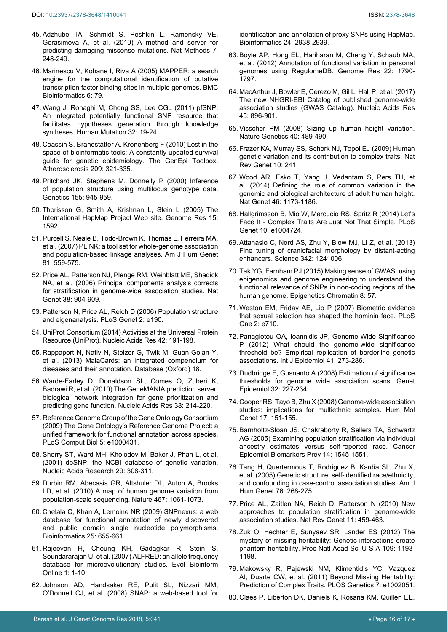- <span id="page-15-0"></span>45. [Adzhubei IA, Schmidt S, Peshkin L, Ramensky VE,](https://www.ncbi.nlm.nih.gov/pubmed/20354512)  [Gerasimova A, et al. \(2010\) A method and server for](https://www.ncbi.nlm.nih.gov/pubmed/20354512)  [predicting damaging missense mutations. Nat Methods 7:](https://www.ncbi.nlm.nih.gov/pubmed/20354512)  [248-249.](https://www.ncbi.nlm.nih.gov/pubmed/20354512)
- <span id="page-15-1"></span>46. [Marinescu V, Kohane I, Riva A \(2005\) MAPPER: a search](https://www.ncbi.nlm.nih.gov/pubmed/15799782)  [engine for the computational identification of putative](https://www.ncbi.nlm.nih.gov/pubmed/15799782)  [transcription factor binding sites in multiple genomes. BMC](https://www.ncbi.nlm.nih.gov/pubmed/15799782)  [Bioinformatics 6: 79.](https://www.ncbi.nlm.nih.gov/pubmed/15799782)
- <span id="page-15-2"></span>47. [Wang J, Ronaghi M, Chong SS, Lee CGL \(2011\) pfSNP:](https://www.ncbi.nlm.nih.gov/pubmed/20672376)  [An integrated potentially functional SNP resource that](https://www.ncbi.nlm.nih.gov/pubmed/20672376)  [facilitates hypotheses generation through knowledge](https://www.ncbi.nlm.nih.gov/pubmed/20672376)  [syntheses. Human Mutation 32: 19-24.](https://www.ncbi.nlm.nih.gov/pubmed/20672376)
- <span id="page-15-3"></span>48. [Coassin S, Brandstätter A, Kronenberg F \(2010\) Lost in the](https://www.ncbi.nlm.nih.gov/pubmed/19963217)  [space of bioinformatic tools: A constantly updated survival](https://www.ncbi.nlm.nih.gov/pubmed/19963217)  [guide for genetic epidemiology. The GenEpi Toolbox.](https://www.ncbi.nlm.nih.gov/pubmed/19963217)  [Atherosclerosis 209: 321-335.](https://www.ncbi.nlm.nih.gov/pubmed/19963217)
- <span id="page-15-15"></span>49. [Pritchard JK, Stephens M, Donnelly P \(2000\) Inference](https://www.ncbi.nlm.nih.gov/pubmed/10835412)  [of population structure using multilocus genotype data.](https://www.ncbi.nlm.nih.gov/pubmed/10835412)  [Genetics 155: 945-959.](https://www.ncbi.nlm.nih.gov/pubmed/10835412)
- <span id="page-15-16"></span>50. [Thorisson G, Smith A, Krishnan L, Stein L \(2005\) The](https://www.ncbi.nlm.nih.gov/pubmed/16251469)  [International HapMap Project Web site. Genome Res 15:](https://www.ncbi.nlm.nih.gov/pubmed/16251469)  [1592.](https://www.ncbi.nlm.nih.gov/pubmed/16251469)
- <span id="page-15-4"></span>51. [Purcell S, Neale B, Todd-Brown K, Thomas L, Ferreira MA,](https://www.ncbi.nlm.nih.gov/pubmed/17701901)  [et al. \(2007\) PLINK: a tool set for whole-genome association](https://www.ncbi.nlm.nih.gov/pubmed/17701901)  [and population-based linkage analyses. Am J Hum Genet](https://www.ncbi.nlm.nih.gov/pubmed/17701901)  [81: 559-575.](https://www.ncbi.nlm.nih.gov/pubmed/17701901)
- <span id="page-15-5"></span>52. [Price AL, Patterson NJ, Plenge RM, Weinblatt ME, Shadick](https://www.ncbi.nlm.nih.gov/pubmed/16862161)  [NA, et al. \(2006\) Principal components analysis corrects](https://www.ncbi.nlm.nih.gov/pubmed/16862161)  [for stratification in genome-wide association studies. Nat](https://www.ncbi.nlm.nih.gov/pubmed/16862161)  [Genet 38: 904-909.](https://www.ncbi.nlm.nih.gov/pubmed/16862161)
- <span id="page-15-6"></span>53. [Patterson N, Price AL, Reich D \(2006\) Population structure](https://www.ncbi.nlm.nih.gov/pubmed/17194218)  [and eigenanalysis. PLoS Genet 2: e190.](https://www.ncbi.nlm.nih.gov/pubmed/17194218)
- <span id="page-15-7"></span>54. [UniProt Consortium \(2014\) Activities at the Universal Protein](https://www.ncbi.nlm.nih.gov/pubmed/24253303)  [Resource \(UniProt\). Nucleic Acids Res 42: 191-198.](https://www.ncbi.nlm.nih.gov/pubmed/24253303)
- <span id="page-15-8"></span>55. [Rappaport N, Nativ N, Stelzer G, Twik M, Guan-Golan Y,](https://www.ncbi.nlm.nih.gov/pubmed/23584832)  [et al. \(2013\) MalaCards: an integrated compendium for](https://www.ncbi.nlm.nih.gov/pubmed/23584832)  [diseases and their annotation. Database \(Oxford\) 18.](https://www.ncbi.nlm.nih.gov/pubmed/23584832)
- <span id="page-15-9"></span>56. [Warde-Farley D, Donaldson SL, Comes O, Zuberi K,](https://www.ncbi.nlm.nih.gov/pubmed/20576703)  [Badrawi R, et al. \(2010\) The GeneMANIA prediction server:](https://www.ncbi.nlm.nih.gov/pubmed/20576703)  [biological network integration for gene prioritization and](https://www.ncbi.nlm.nih.gov/pubmed/20576703)  [predicting gene function. Nucleic Acids Res 38: 214-220.](https://www.ncbi.nlm.nih.gov/pubmed/20576703)
- <span id="page-15-10"></span>57. [Reference Genome Group of the Gene Ontology Consortium](https://www.ncbi.nlm.nih.gov/pubmed/19578431)  [\(2009\) The Gene Ontology's Reference Genome Project: a](https://www.ncbi.nlm.nih.gov/pubmed/19578431)  [unified framework for functional annotation across species.](https://www.ncbi.nlm.nih.gov/pubmed/19578431)  [PLoS Comput Biol 5: e1000431.](https://www.ncbi.nlm.nih.gov/pubmed/19578431)
- <span id="page-15-11"></span>58. [Sherry ST, Ward MH, Kholodov M, Baker J, Phan L, et al.](https://www.ncbi.nlm.nih.gov/pubmed/11125122)  [\(2001\) dbSNP: the NCBI database of genetic variation.](https://www.ncbi.nlm.nih.gov/pubmed/11125122)  [Nucleic Acids Research 29: 308-311.](https://www.ncbi.nlm.nih.gov/pubmed/11125122)
- 59. [Durbin RM, Abecasis GR, Altshuler DL, Auton A, Brooks](https://www.ncbi.nlm.nih.gov/pubmed/20981092)  [LD, et al. \(2010\) A map of human genome variation from](https://www.ncbi.nlm.nih.gov/pubmed/20981092)  [population-scale sequencing. Nature 467: 1061-1073.](https://www.ncbi.nlm.nih.gov/pubmed/20981092)
- 60. [Chelala C, Khan A, Lemoine NR \(2009\) SNPnexus: a web](https://www.ncbi.nlm.nih.gov/pubmed/19098027)  [database for functional annotation of newly discovered](https://www.ncbi.nlm.nih.gov/pubmed/19098027)  [and public domain single nucleotide polymorphisms.](https://www.ncbi.nlm.nih.gov/pubmed/19098027)  [Bioinformatics 25: 655-661.](https://www.ncbi.nlm.nih.gov/pubmed/19098027)
- <span id="page-15-12"></span>61. [Rajeevan H, Cheung KH, Gadagkar R, Stein S,](https://www.ncbi.nlm.nih.gov/pubmed/19325849)  [Soundararajan U, et al. \(2007\) ALFRED: an allele frequency](https://www.ncbi.nlm.nih.gov/pubmed/19325849)  [database for microevolutionary studies. Evol Bioinform](https://www.ncbi.nlm.nih.gov/pubmed/19325849)  [Online 1: 1-10.](https://www.ncbi.nlm.nih.gov/pubmed/19325849)
- <span id="page-15-13"></span>62. [Johnson AD, Handsaker RE, Pulit SL, Nizzari MM,](https://www.ncbi.nlm.nih.gov/pubmed/18974171)  [O'Donnell CJ, et al. \(2008\) SNAP: a web-based tool for](https://www.ncbi.nlm.nih.gov/pubmed/18974171)

[identification and annotation of proxy SNPs using HapMap.](https://www.ncbi.nlm.nih.gov/pubmed/18974171)  [Bioinformatics 24: 2938-2939.](https://www.ncbi.nlm.nih.gov/pubmed/18974171)

- <span id="page-15-14"></span>63. [Boyle AP, Hong EL, Hariharan M, Cheng Y, Schaub MA,](https://www.ncbi.nlm.nih.gov/pubmed/22955989)  [et al. \(2012\) Annotation of functional variation in personal](https://www.ncbi.nlm.nih.gov/pubmed/22955989)  [genomes using RegulomeDB. Genome Res 22: 1790-](https://www.ncbi.nlm.nih.gov/pubmed/22955989) [1797.](https://www.ncbi.nlm.nih.gov/pubmed/22955989)
- <span id="page-15-20"></span>64. [MacArthur J, Bowler E, Cerezo M, Gil L, Hall P, et al. \(2017\)](https://www.ncbi.nlm.nih.gov/pmc/articles/PMC5210590/)  [The new NHGRI-EBI Catalog of published genome-wide](https://www.ncbi.nlm.nih.gov/pmc/articles/PMC5210590/)  [association studies \(GWAS Catalog\). Nucleic Acids Res](https://www.ncbi.nlm.nih.gov/pmc/articles/PMC5210590/)  [45: 896-901.](https://www.ncbi.nlm.nih.gov/pmc/articles/PMC5210590/)
- <span id="page-15-21"></span>65. [Visscher PM \(2008\) Sizing up human height variation.](https://www.ncbi.nlm.nih.gov/pubmed/18443579)  [Nature Genetics 40: 489-490.](https://www.ncbi.nlm.nih.gov/pubmed/18443579)
- 66. [Frazer KA, Murray SS, Schork NJ, Topol EJ \(2009\) Human](https://www.ncbi.nlm.nih.gov/pubmed/19293820)  [genetic variation and its contribution to complex traits. Nat](https://www.ncbi.nlm.nih.gov/pubmed/19293820)  [Rev Genet 10: 241.](https://www.ncbi.nlm.nih.gov/pubmed/19293820)
- <span id="page-15-29"></span>67. [Wood AR, Esko T, Yang J, Vedantam S, Pers TH, et](https://www.ncbi.nlm.nih.gov/pubmed/25282103)  [al. \(2014\) Defining the role of common variation in the](https://www.ncbi.nlm.nih.gov/pubmed/25282103)  [genomic and biological architecture of adult human height.](https://www.ncbi.nlm.nih.gov/pubmed/25282103)  [Nat Genet 46: 1173-1186.](https://www.ncbi.nlm.nih.gov/pubmed/25282103)
- <span id="page-15-22"></span>68. [Hallgrimsson B, Mio W, Marcucio RS, Spritz R \(2014\) Let's](https://www.ncbi.nlm.nih.gov/pubmed/25375250)  [Face It - Complex Traits Are Just Not That Simple. PLoS](https://www.ncbi.nlm.nih.gov/pubmed/25375250)  [Genet 10: e1004724.](https://www.ncbi.nlm.nih.gov/pubmed/25375250)
- <span id="page-15-23"></span>69. [Attanasio C, Nord AS, Zhu Y, Blow MJ, Li Z, et al. \(2013\)](https://www.ncbi.nlm.nih.gov/pubmed/24159046)  [Fine tuning of craniofacial morphology by distant-acting](https://www.ncbi.nlm.nih.gov/pubmed/24159046)  [enhancers. Science 342: 1241006.](https://www.ncbi.nlm.nih.gov/pubmed/24159046)
- <span id="page-15-24"></span>70. [Tak YG, Farnham PJ \(2015\) Making sense of GWAS: using](https://www.ncbi.nlm.nih.gov/pubmed/26719772)  [epigenomics and genome engineering to understand the](https://www.ncbi.nlm.nih.gov/pubmed/26719772)  [functional relevance of SNPs in non-coding regions of the](https://www.ncbi.nlm.nih.gov/pubmed/26719772)  [human genome. Epigenetics Chromatin 8: 57.](https://www.ncbi.nlm.nih.gov/pubmed/26719772)
- <span id="page-15-17"></span>71. [Weston EM, Friday AE, Lio P \(2007\) Biometric evidence](https://www.ncbi.nlm.nih.gov/pubmed/17684556)  [that sexual selection has shaped the hominin face. PLoS](https://www.ncbi.nlm.nih.gov/pubmed/17684556)  [One 2: e710.](https://www.ncbi.nlm.nih.gov/pubmed/17684556)
- <span id="page-15-18"></span>72. [Panagiotou OA, Ioannidis JP, Genome-Wide Significance](https://www.ncbi.nlm.nih.gov/pubmed/22253303)  [P \(2012\) What should the genome-wide significance](https://www.ncbi.nlm.nih.gov/pubmed/22253303)  [threshold be? Empirical replication of borderline genetic](https://www.ncbi.nlm.nih.gov/pubmed/22253303)  [associations. Int J Epidemiol 41: 273-286.](https://www.ncbi.nlm.nih.gov/pubmed/22253303)
- <span id="page-15-19"></span>73. [Dudbridge F, Gusnanto A \(2008\) Estimation of significance](https://www.ncbi.nlm.nih.gov/pubmed/18300295)  [thresholds for genome wide association scans. Genet](https://www.ncbi.nlm.nih.gov/pubmed/18300295)  [Epidemiol 32: 227-234.](https://www.ncbi.nlm.nih.gov/pubmed/18300295)
- <span id="page-15-25"></span>74. [Cooper RS, Tayo B, Zhu X \(2008\) Genome-wide association](https://www.ncbi.nlm.nih.gov/pubmed/18852204)  [studies: implications for multiethnic samples. Hum Mol](https://www.ncbi.nlm.nih.gov/pubmed/18852204)  [Genet 17: 151-155.](https://www.ncbi.nlm.nih.gov/pubmed/18852204)
- <span id="page-15-26"></span>75. [Barnholtz-Sloan JS, Chakraborty R, Sellers TA, Schwartz](https://www.ncbi.nlm.nih.gov/pubmed/15941970)  [AG \(2005\) Examining population stratification via individual](https://www.ncbi.nlm.nih.gov/pubmed/15941970)  [ancestry estimates versus self-reported race. Cancer](https://www.ncbi.nlm.nih.gov/pubmed/15941970)  [Epidemiol Biomarkers Prev 14: 1545-1551.](https://www.ncbi.nlm.nih.gov/pubmed/15941970)
- <span id="page-15-27"></span>76. [Tang H, Quertermous T, Rodriguez B, Kardia SL, Zhu X,](https://www.ncbi.nlm.nih.gov/pubmed/15625622)  [et al. \(2005\) Genetic structure, self-identified race/ethnicity,](https://www.ncbi.nlm.nih.gov/pubmed/15625622)  [and confounding in case-control association studies. Am J](https://www.ncbi.nlm.nih.gov/pubmed/15625622)  [Hum Genet 76: 268-275.](https://www.ncbi.nlm.nih.gov/pubmed/15625622)
- <span id="page-15-28"></span>77. [Price AL, Zaitlen NA, Reich D, Patterson N \(2010\) New](https://www.ncbi.nlm.nih.gov/pubmed/20548291)  [approaches to population stratification in genome-wide](https://www.ncbi.nlm.nih.gov/pubmed/20548291)  [association studies. Nat Rev Genet 11: 459-463.](https://www.ncbi.nlm.nih.gov/pubmed/20548291)
- <span id="page-15-30"></span>78. [Zuk O, Hechter E, Sunyaev SR, Lander ES \(2012\) The](https://www.ncbi.nlm.nih.gov/pubmed/22223662)  [mystery of missing heritability: Genetic interactions create](https://www.ncbi.nlm.nih.gov/pubmed/22223662)  [phantom heritability. Proc Natl Acad Sci U S A 109:](https://www.ncbi.nlm.nih.gov/pubmed/22223662) 1193- [1198.](https://www.ncbi.nlm.nih.gov/pubmed/22223662)
- 79. [Makowsky R, Pajewski NM, Klimentidis YC, Vazquez](https://www.ncbi.nlm.nih.gov/pubmed/21552331)  [AI, Duarte CW, et al. \(2011\) Beyond Missing Heritability:](https://www.ncbi.nlm.nih.gov/pubmed/21552331)  [Prediction of Complex Traits. PLOS Genetics 7: e1002051.](https://www.ncbi.nlm.nih.gov/pubmed/21552331)
- <span id="page-15-31"></span>80. [Claes P, Liberton DK, Daniels K, Rosana KM, Quillen EE,](https://www.ncbi.nlm.nih.gov/pubmed/24651127)